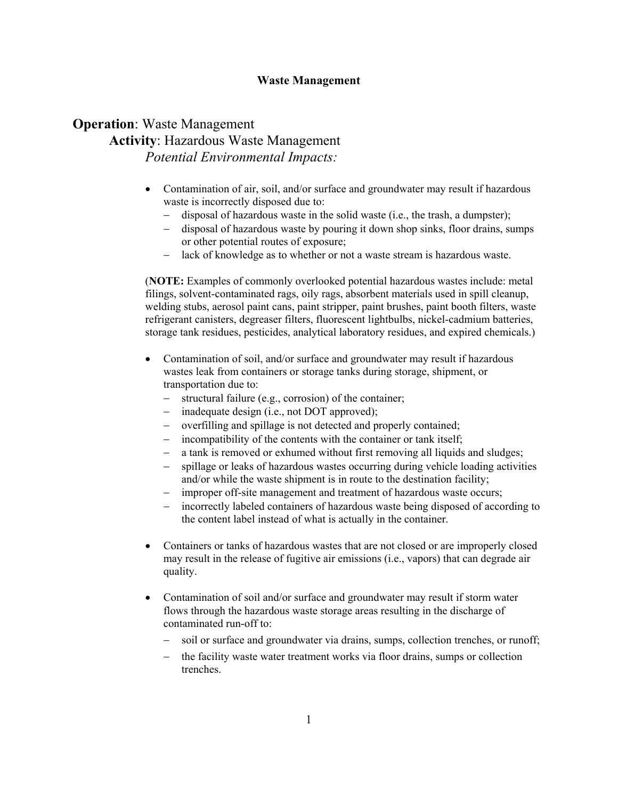### **Waste Management**

## **Operation**: Waste Management **Activity**: Hazardous Waste Management *Potential Environmental Impacts:*

- Contamination of air, soil, and/or surface and groundwater may result if hazardous waste is incorrectly disposed due to:
	- − disposal of hazardous waste in the solid waste (i.e., the trash, a dumpster);
	- − disposal of hazardous waste by pouring it down shop sinks, floor drains, sumps or other potential routes of exposure;
	- lack of knowledge as to whether or not a waste stream is hazardous waste.

(**NOTE:** Examples of commonly overlooked potential hazardous wastes include: metal filings, solvent-contaminated rags, oily rags, absorbent materials used in spill cleanup, welding stubs, aerosol paint cans, paint stripper, paint brushes, paint booth filters, waste refrigerant canisters, degreaser filters, fluorescent lightbulbs, nickel-cadmium batteries, storage tank residues, pesticides, analytical laboratory residues, and expired chemicals.)

- Contamination of soil, and/or surface and groundwater may result if hazardous wastes leak from containers or storage tanks during storage, shipment, or transportation due to:
	- − structural failure (e.g., corrosion) of the container;
	- − inadequate design (i.e., not DOT approved);
	- − overfilling and spillage is not detected and properly contained;
	- incompatibility of the contents with the container or tank itself;
	- a tank is removed or exhumed without first removing all liquids and sludges;
	- spillage or leaks of hazardous wastes occurring during vehicle loading activities and/or while the waste shipment is in route to the destination facility;
	- improper off-site management and treatment of hazardous waste occurs;
	- − incorrectly labeled containers of hazardous waste being disposed of according to the content label instead of what is actually in the container.
- Containers or tanks of hazardous wastes that are not closed or are improperly closed may result in the release of fugitive air emissions (i.e., vapors) that can degrade air quality.
- Contamination of soil and/or surface and groundwater may result if storm water flows through the hazardous waste storage areas resulting in the discharge of contaminated run-off to:
	- soil or surface and groundwater via drains, sumps, collection trenches, or runoff;
	- the facility waste water treatment works via floor drains, sumps or collection trenches.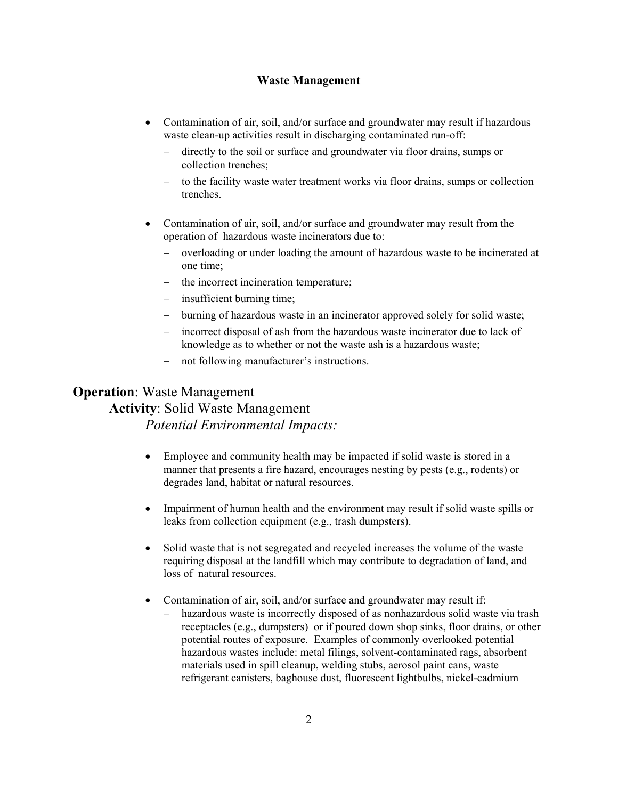### **Waste Management**

- Contamination of air, soil, and/or surface and groundwater may result if hazardous waste clean-up activities result in discharging contaminated run-off:
	- − directly to the soil or surface and groundwater via floor drains, sumps or collection trenches;
	- to the facility waste water treatment works via floor drains, sumps or collection trenches.
- Contamination of air, soil, and/or surface and groundwater may result from the operation of hazardous waste incinerators due to:
	- − overloading or under loading the amount of hazardous waste to be incinerated at one time;
	- the incorrect incineration temperature;
	- insufficient burning time;
	- − burning of hazardous waste in an incinerator approved solely for solid waste;
	- − incorrect disposal of ash from the hazardous waste incinerator due to lack of knowledge as to whether or not the waste ash is a hazardous waste;
	- not following manufacturer's instructions.

### **Operation**: Waste Management

### **Activity**: Solid Waste Management

- Employee and community health may be impacted if solid waste is stored in a manner that presents a fire hazard, encourages nesting by pests (e.g., rodents) or degrades land, habitat or natural resources.
- Impairment of human health and the environment may result if solid waste spills or leaks from collection equipment (e.g., trash dumpsters).
- Solid waste that is not segregated and recycled increases the volume of the waste requiring disposal at the landfill which may contribute to degradation of land, and loss of natural resources.
- Contamination of air, soil, and/or surface and groundwater may result if:
	- − hazardous waste is incorrectly disposed of as nonhazardous solid waste via trash receptacles (e.g., dumpsters) or if poured down shop sinks, floor drains, or other potential routes of exposure. Examples of commonly overlooked potential hazardous wastes include: metal filings, solvent-contaminated rags, absorbent materials used in spill cleanup, welding stubs, aerosol paint cans, waste refrigerant canisters, baghouse dust, fluorescent lightbulbs, nickel-cadmium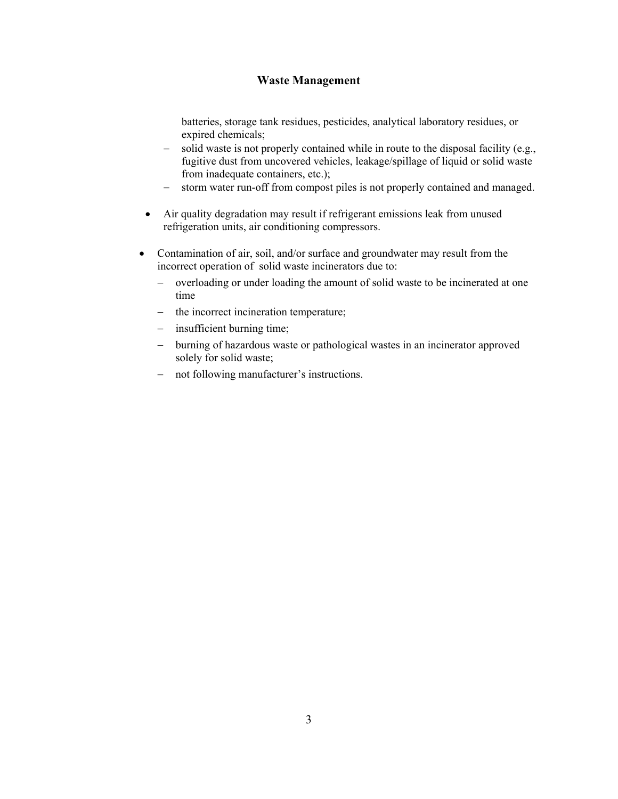### **Waste Management**

batteries, storage tank residues, pesticides, analytical laboratory residues, or expired chemicals;

- solid waste is not properly contained while in route to the disposal facility (e.g., fugitive dust from uncovered vehicles, leakage/spillage of liquid or solid waste from inadequate containers, etc.);
- − storm water run-off from compost piles is not properly contained and managed.
- Air quality degradation may result if refrigerant emissions leak from unused refrigeration units, air conditioning compressors.
- Contamination of air, soil, and/or surface and groundwater may result from the incorrect operation of solid waste incinerators due to:
	- − overloading or under loading the amount of solid waste to be incinerated at one time
	- − the incorrect incineration temperature;
	- − insufficient burning time;
	- − burning of hazardous waste or pathological wastes in an incinerator approved solely for solid waste;
	- − not following manufacturer's instructions.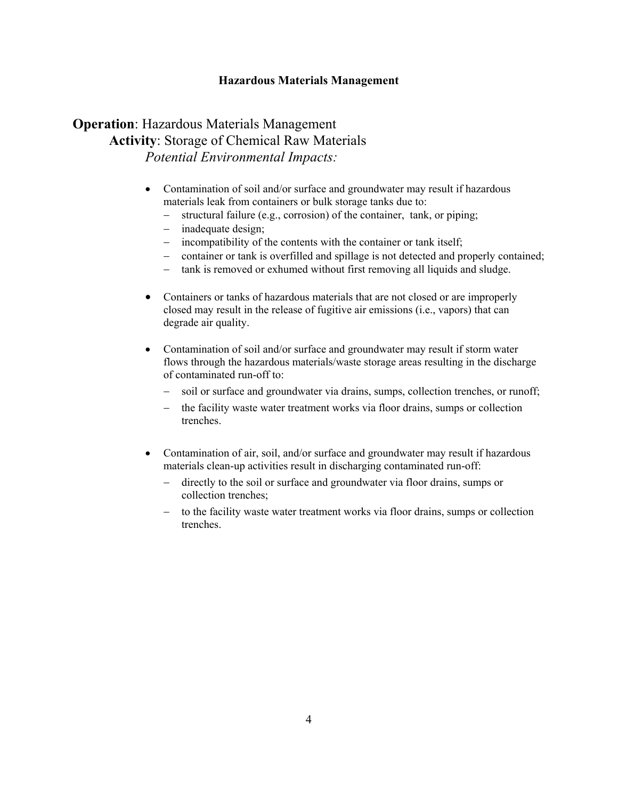### **Hazardous Materials Management**

## **Operation**: Hazardous Materials Management **Activity**: Storage of Chemical Raw Materials *Potential Environmental Impacts:*

- Contamination of soil and/or surface and groundwater may result if hazardous materials leak from containers or bulk storage tanks due to:
	- − structural failure (e.g., corrosion) of the container, tank, or piping;
	- − inadequate design;
	- − incompatibility of the contents with the container or tank itself;
	- − container or tank is overfilled and spillage is not detected and properly contained;
	- − tank is removed or exhumed without first removing all liquids and sludge.
- Containers or tanks of hazardous materials that are not closed or are improperly closed may result in the release of fugitive air emissions (i.e., vapors) that can degrade air quality.
- Contamination of soil and/or surface and groundwater may result if storm water flows through the hazardous materials/waste storage areas resulting in the discharge of contaminated run-off to:
	- − soil or surface and groundwater via drains, sumps, collection trenches, or runoff;
	- − the facility waste water treatment works via floor drains, sumps or collection trenches.
- Contamination of air, soil, and/or surface and groundwater may result if hazardous materials clean-up activities result in discharging contaminated run-off:
	- − directly to the soil or surface and groundwater via floor drains, sumps or collection trenches;
	- to the facility waste water treatment works via floor drains, sumps or collection trenches.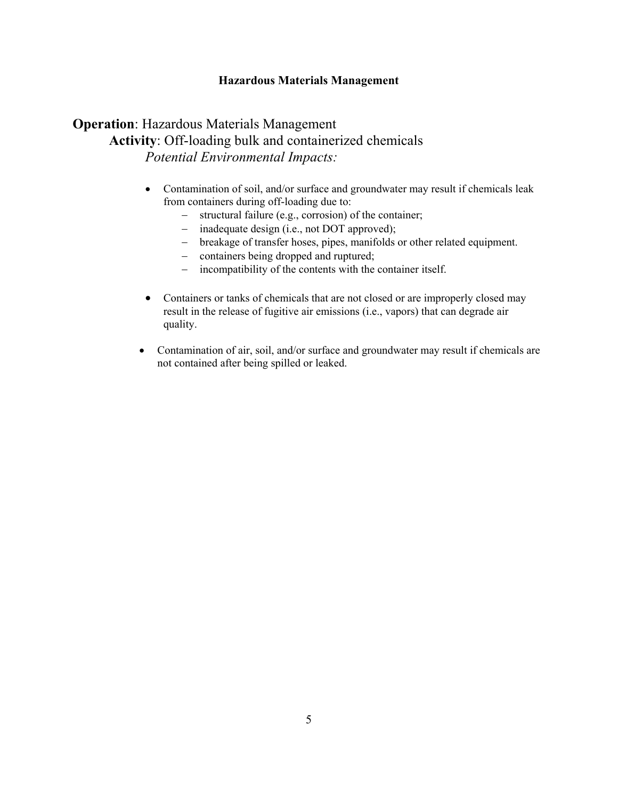### **Hazardous Materials Management**

## **Operation**: Hazardous Materials Management **Activity**: Off-loading bulk and containerized chemicals *Potential Environmental Impacts:*

- Contamination of soil, and/or surface and groundwater may result if chemicals leak from containers during off-loading due to:
	- − structural failure (e.g., corrosion) of the container;
	- − inadequate design (i.e., not DOT approved);
	- − breakage of transfer hoses, pipes, manifolds or other related equipment.
	- − containers being dropped and ruptured;
	- − incompatibility of the contents with the container itself.
- Containers or tanks of chemicals that are not closed or are improperly closed may result in the release of fugitive air emissions (i.e., vapors) that can degrade air quality.
- Contamination of air, soil, and/or surface and groundwater may result if chemicals are not contained after being spilled or leaked.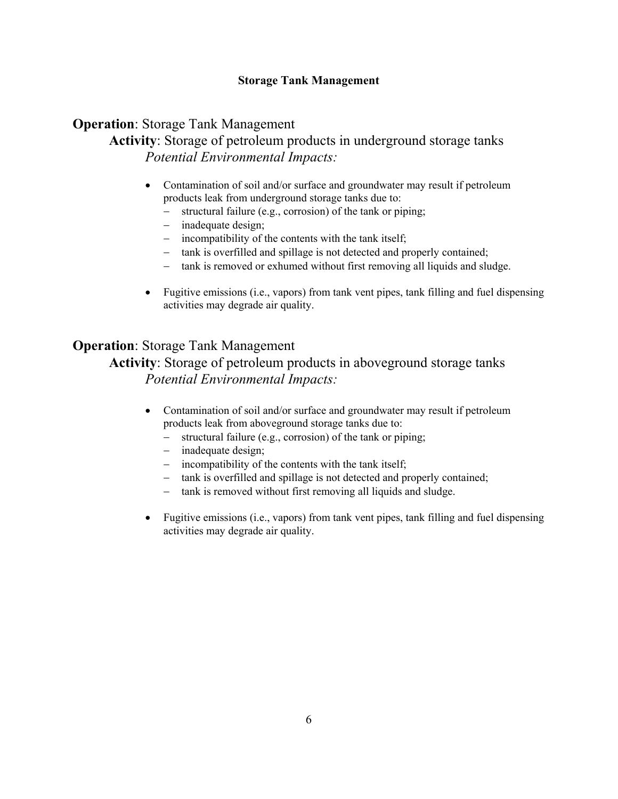### **Storage Tank Management**

## **Operation**: Storage Tank Management

**Activity**: Storage of petroleum products in underground storage tanks *Potential Environmental Impacts:* 

- Contamination of soil and/or surface and groundwater may result if petroleum products leak from underground storage tanks due to:
	- − structural failure (e.g., corrosion) of the tank or piping;
	- − inadequate design;
	- − incompatibility of the contents with the tank itself;
	- − tank is overfilled and spillage is not detected and properly contained;
	- − tank is removed or exhumed without first removing all liquids and sludge.
- Fugitive emissions (i.e., vapors) from tank vent pipes, tank filling and fuel dispensing activities may degrade air quality.

## **Operation**: Storage Tank Management

**Activity**: Storage of petroleum products in aboveground storage tanks *Potential Environmental Impacts:* 

- Contamination of soil and/or surface and groundwater may result if petroleum products leak from aboveground storage tanks due to:
	- − structural failure (e.g., corrosion) of the tank or piping;
	- − inadequate design;
	- − incompatibility of the contents with the tank itself;
	- − tank is overfilled and spillage is not detected and properly contained;
	- − tank is removed without first removing all liquids and sludge.
- Fugitive emissions (i.e., vapors) from tank vent pipes, tank filling and fuel dispensing activities may degrade air quality.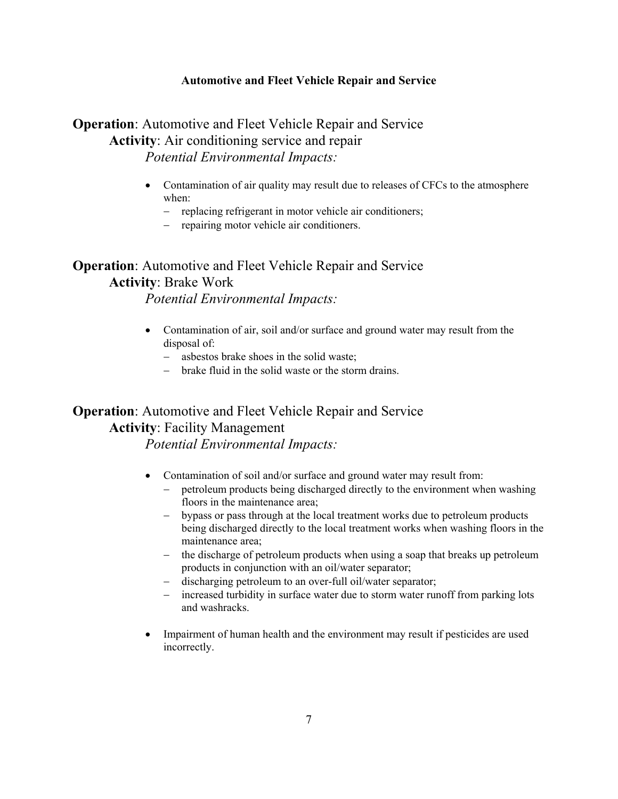## **Operation:** Automotive and Fleet Vehicle Repair and Service **Activity**: Air conditioning service and repair *Potential Environmental Impacts:*

- Contamination of air quality may result due to releases of CFCs to the atmosphere when:
	- − replacing refrigerant in motor vehicle air conditioners;
	- − repairing motor vehicle air conditioners.

# **Operation**: Automotive and Fleet Vehicle Repair and Service **Activity**: Brake Work

*Potential Environmental Impacts:* 

- Contamination of air, soil and/or surface and ground water may result from the disposal of:
	- − asbestos brake shoes in the solid waste;
	- − brake fluid in the solid waste or the storm drains.

## **Operation**: Automotive and Fleet Vehicle Repair and Service **Activity**: Facility Management

- Contamination of soil and/or surface and ground water may result from:
	- − petroleum products being discharged directly to the environment when washing floors in the maintenance area;
	- − bypass or pass through at the local treatment works due to petroleum products being discharged directly to the local treatment works when washing floors in the maintenance area;
	- − the discharge of petroleum products when using a soap that breaks up petroleum products in conjunction with an oil/water separator;
	- − discharging petroleum to an over-full oil/water separator;
	- − increased turbidity in surface water due to storm water runoff from parking lots and washracks.
- Impairment of human health and the environment may result if pesticides are used incorrectly.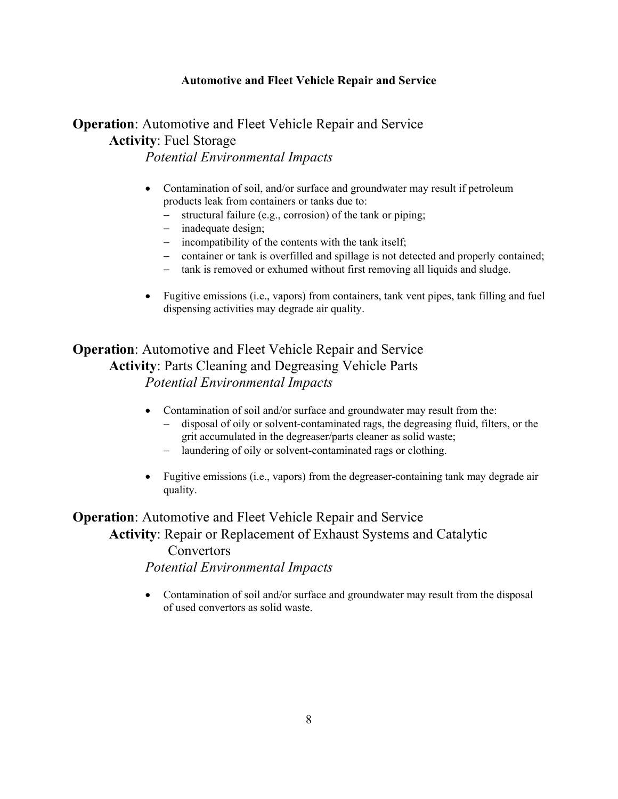## **Operation**: Automotive and Fleet Vehicle Repair and Service **Activity**: Fuel Storage *Potential Environmental Impacts*

- Contamination of soil, and/or surface and groundwater may result if petroleum products leak from containers or tanks due to:
	- − structural failure (e.g., corrosion) of the tank or piping;
	- − inadequate design;
	- − incompatibility of the contents with the tank itself;
	- − container or tank is overfilled and spillage is not detected and properly contained;
	- − tank is removed or exhumed without first removing all liquids and sludge.
- Fugitive emissions (i.e., vapors) from containers, tank vent pipes, tank filling and fuel dispensing activities may degrade air quality.

**Operation**: Automotive and Fleet Vehicle Repair and Service **Activity**: Parts Cleaning and Degreasing Vehicle Parts *Potential Environmental Impacts*

- Contamination of soil and/or surface and groundwater may result from the:
	- − disposal of oily or solvent-contaminated rags, the degreasing fluid, filters, or the grit accumulated in the degreaser/parts cleaner as solid waste;
	- − laundering of oily or solvent-contaminated rags or clothing.
- Fugitive emissions (i.e., vapors) from the degreaser-containing tank may degrade air quality.

**Operation:** Automotive and Fleet Vehicle Repair and Service **Activity**: Repair or Replacement of Exhaust Systems and Catalytic **Convertors** *Potential Environmental Impacts* 

> • Contamination of soil and/or surface and groundwater may result from the disposal of used convertors as solid waste.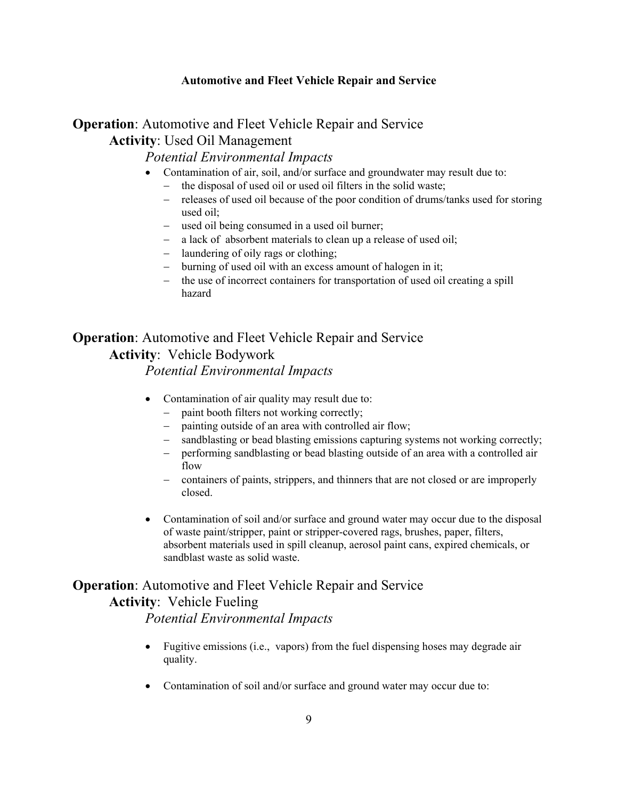## **Operation**: Automotive and Fleet Vehicle Repair and Service **Activity**: Used Oil Management

### *Potential Environmental Impacts*

- Contamination of air, soil, and/or surface and groundwater may result due to:
	- the disposal of used oil or used oil filters in the solid waste;
	- − releases of used oil because of the poor condition of drums/tanks used for storing used oil;
	- − used oil being consumed in a used oil burner;
	- − a lack of absorbent materials to clean up a release of used oil;
	- − laundering of oily rags or clothing;
	- − burning of used oil with an excess amount of halogen in it;
	- − the use of incorrect containers for transportation of used oil creating a spill hazard

## **Operation**: Automotive and Fleet Vehicle Repair and Service **Activity**: Vehicle Bodywork

*Potential Environmental Impacts* 

- Contamination of air quality may result due to:
	- − paint booth filters not working correctly;
	- painting outside of an area with controlled air flow;
	- sandblasting or bead blasting emissions capturing systems not working correctly;
	- performing sandblasting or bead blasting outside of an area with a controlled air flow
	- − containers of paints, strippers, and thinners that are not closed or are improperly closed.
- Contamination of soil and/or surface and ground water may occur due to the disposal of waste paint/stripper, paint or stripper-covered rags, brushes, paper, filters, absorbent materials used in spill cleanup, aerosol paint cans, expired chemicals, or sandblast waste as solid waste.

# **Operation**: Automotive and Fleet Vehicle Repair and Service

## **Activity**: Vehicle Fueling

- Fugitive emissions (i.e., vapors) from the fuel dispensing hoses may degrade air quality.
- Contamination of soil and/or surface and ground water may occur due to: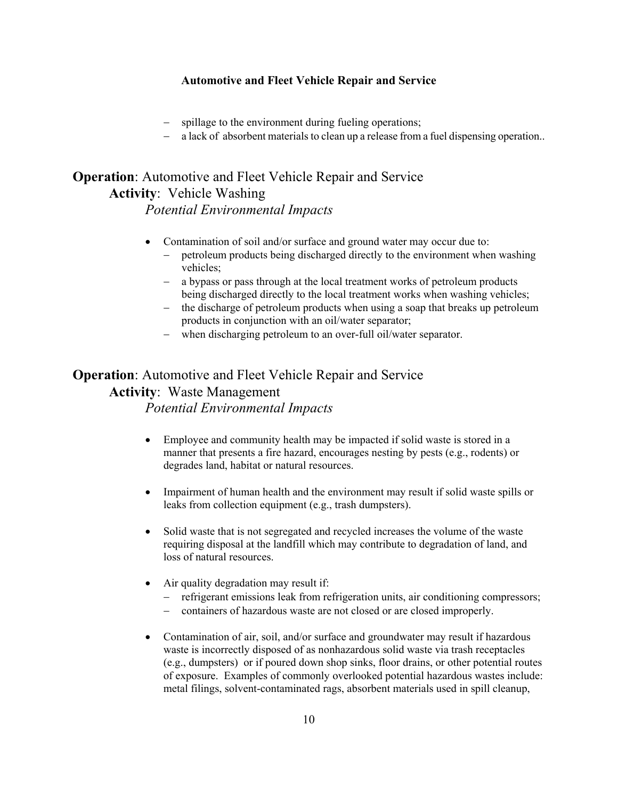- − spillage to the environment during fueling operations;
- − a lack of absorbent materials to clean up a release from a fuel dispensing operation..

# **Operation**: Automotive and Fleet Vehicle Repair and Service **Activity**: Vehicle Washing

### *Potential Environmental Impacts*

- Contamination of soil and/or surface and ground water may occur due to:
	- petroleum products being discharged directly to the environment when washing vehicles;
	- − a bypass or pass through at the local treatment works of petroleum products being discharged directly to the local treatment works when washing vehicles;
	- − the discharge of petroleum products when using a soap that breaks up petroleum products in conjunction with an oil/water separator;
	- − when discharging petroleum to an over-full oil/water separator.

## **Operation**: Automotive and Fleet Vehicle Repair and Service **Activity**: Waste Management *Potential Environmental Impacts*

- Employee and community health may be impacted if solid waste is stored in a manner that presents a fire hazard, encourages nesting by pests (e.g., rodents) or degrades land, habitat or natural resources.
- Impairment of human health and the environment may result if solid waste spills or leaks from collection equipment (e.g., trash dumpsters).
- Solid waste that is not segregated and recycled increases the volume of the waste requiring disposal at the landfill which may contribute to degradation of land, and loss of natural resources.
- Air quality degradation may result if:
	- − refrigerant emissions leak from refrigeration units, air conditioning compressors;
	- − containers of hazardous waste are not closed or are closed improperly.
- Contamination of air, soil, and/or surface and groundwater may result if hazardous waste is incorrectly disposed of as nonhazardous solid waste via trash receptacles (e.g., dumpsters) or if poured down shop sinks, floor drains, or other potential routes of exposure. Examples of commonly overlooked potential hazardous wastes include: metal filings, solvent-contaminated rags, absorbent materials used in spill cleanup,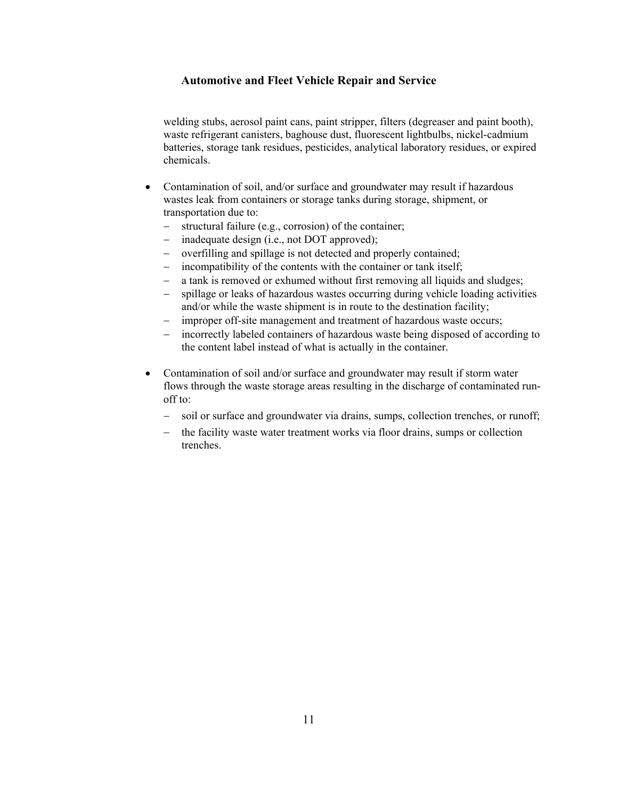welding stubs, aerosol paint cans, paint stripper, filters (degreaser and paint booth), waste refrigerant canisters, baghouse dust, fluorescent lightbulbs, nickel-cadmium batteries, storage tank residues, pesticides, analytical laboratory residues, or expired chemicals.

- Contamination of soil, and/or surface and groundwater may result if hazardous wastes leak from containers or storage tanks during storage, shipment, or transportation due to:
	- − structural failure (e.g., corrosion) of the container;
	- − inadequate design (i.e., not DOT approved);
	- − overfilling and spillage is not detected and properly contained;
	- incompatibility of the contents with the container or tank itself;
	- − a tank is removed or exhumed without first removing all liquids and sludges;
	- − spillage or leaks of hazardous wastes occurring during vehicle loading activities and/or while the waste shipment is in route to the destination facility;
	- − improper off-site management and treatment of hazardous waste occurs;
	- − incorrectly labeled containers of hazardous waste being disposed of according to the content label instead of what is actually in the container.
- Contamination of soil and/or surface and groundwater may result if storm water flows through the waste storage areas resulting in the discharge of contaminated runoff to:
	- − soil or surface and groundwater via drains, sumps, collection trenches, or runoff;
	- the facility waste water treatment works via floor drains, sumps or collection trenches.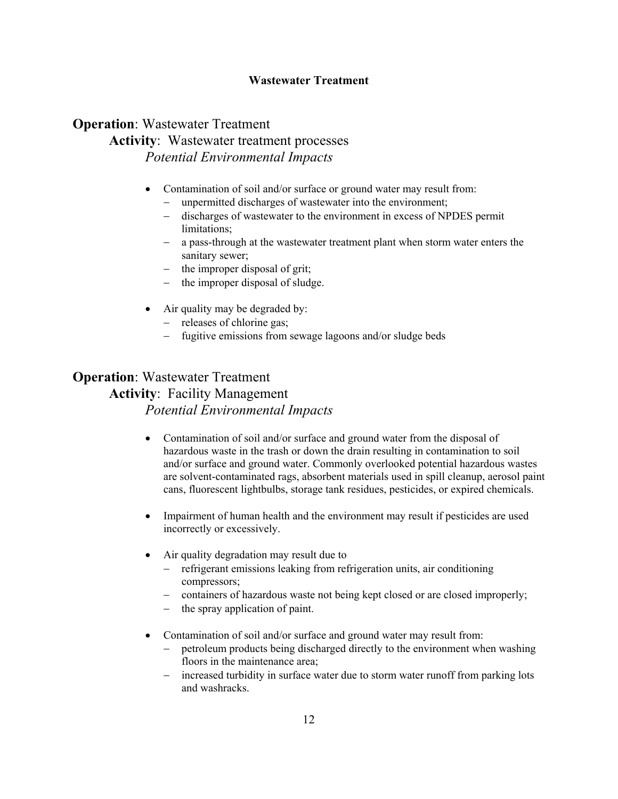### **Wastewater Treatment**

## **Operation**: Wastewater Treatment **Activity**: Wastewater treatment processes *Potential Environmental Impacts*

- Contamination of soil and/or surface or ground water may result from:
	- unpermitted discharges of wastewater into the environment;
	- − discharges of wastewater to the environment in excess of NPDES permit limitations;
	- − a pass-through at the wastewater treatment plant when storm water enters the sanitary sewer;
	- − the improper disposal of grit;
	- the improper disposal of sludge.
- Air quality may be degraded by:
	- − releases of chlorine gas;
	- − fugitive emissions from sewage lagoons and/or sludge beds

## **Operation**: Wastewater Treatment **Activity**: Facility Management *Potential Environmental Impacts*

- Contamination of soil and/or surface and ground water from the disposal of hazardous waste in the trash or down the drain resulting in contamination to soil and/or surface and ground water. Commonly overlooked potential hazardous wastes are solvent-contaminated rags, absorbent materials used in spill cleanup, aerosol paint cans, fluorescent lightbulbs, storage tank residues, pesticides, or expired chemicals.
- Impairment of human health and the environment may result if pesticides are used incorrectly or excessively.
- Air quality degradation may result due to
	- − refrigerant emissions leaking from refrigeration units, air conditioning compressors;
	- − containers of hazardous waste not being kept closed or are closed improperly;
	- − the spray application of paint.
- Contamination of soil and/or surface and ground water may result from:
	- petroleum products being discharged directly to the environment when washing floors in the maintenance area;
	- − increased turbidity in surface water due to storm water runoff from parking lots and washracks.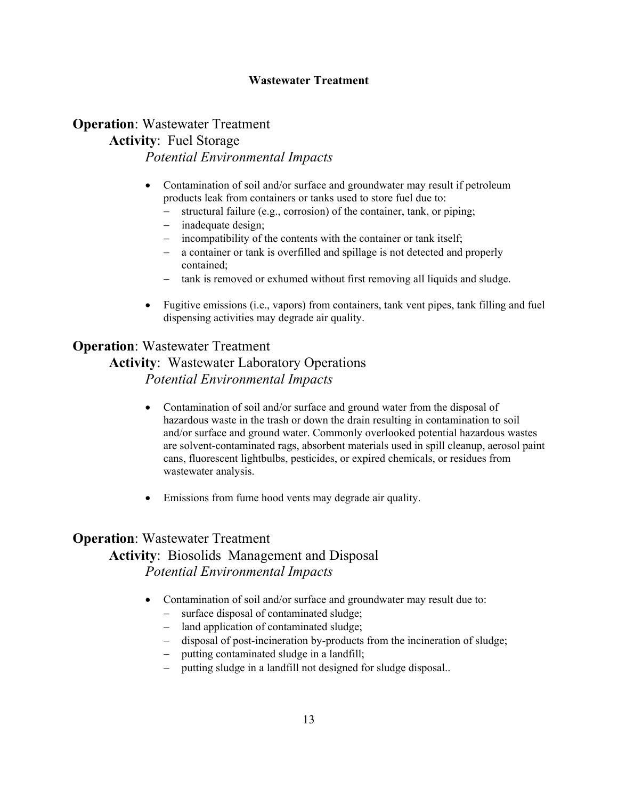### **Wastewater Treatment**

## **Operation**: Wastewater Treatment **Activity**: Fuel Storage *Potential Environmental Impacts*

- Contamination of soil and/or surface and groundwater may result if petroleum products leak from containers or tanks used to store fuel due to:
	- structural failure (e.g., corrosion) of the container, tank, or piping;
	- − inadequate design;
	- incompatibility of the contents with the container or tank itself;
	- − a container or tank is overfilled and spillage is not detected and properly contained;
	- − tank is removed or exhumed without first removing all liquids and sludge.
- Fugitive emissions (i.e., vapors) from containers, tank vent pipes, tank filling and fuel dispensing activities may degrade air quality.

## **Operation**: Wastewater Treatment

## **Activity**: Wastewater Laboratory Operations *Potential Environmental Impacts*

- Contamination of soil and/or surface and ground water from the disposal of hazardous waste in the trash or down the drain resulting in contamination to soil and/or surface and ground water. Commonly overlooked potential hazardous wastes are solvent-contaminated rags, absorbent materials used in spill cleanup, aerosol paint cans, fluorescent lightbulbs, pesticides, or expired chemicals, or residues from wastewater analysis.
- Emissions from fume hood vents may degrade air quality.

## **Operation**: Wastewater Treatment **Activity**: Biosolids Management and Disposal *Potential Environmental Impacts*

- Contamination of soil and/or surface and groundwater may result due to:
	- − surface disposal of contaminated sludge;
	- − land application of contaminated sludge;
	- − disposal of post-incineration by-products from the incineration of sludge;
	- − putting contaminated sludge in a landfill;
	- − putting sludge in a landfill not designed for sludge disposal..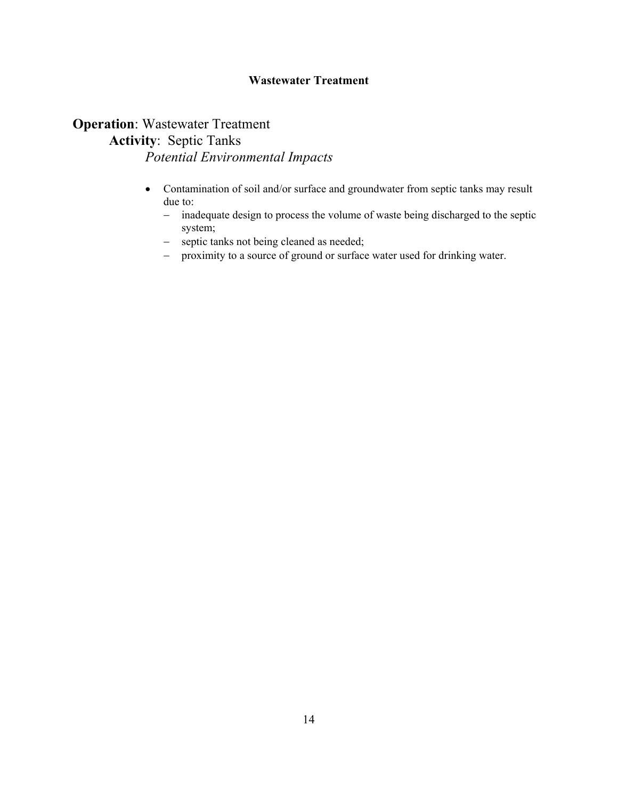### **Wastewater Treatment**

## **Operation**: Wastewater Treatment **Activity**: Septic Tanks *Potential Environmental Impacts*

- Contamination of soil and/or surface and groundwater from septic tanks may result due to:
	- − inadequate design to process the volume of waste being discharged to the septic system;
	- − septic tanks not being cleaned as needed;
	- − proximity to a source of ground or surface water used for drinking water.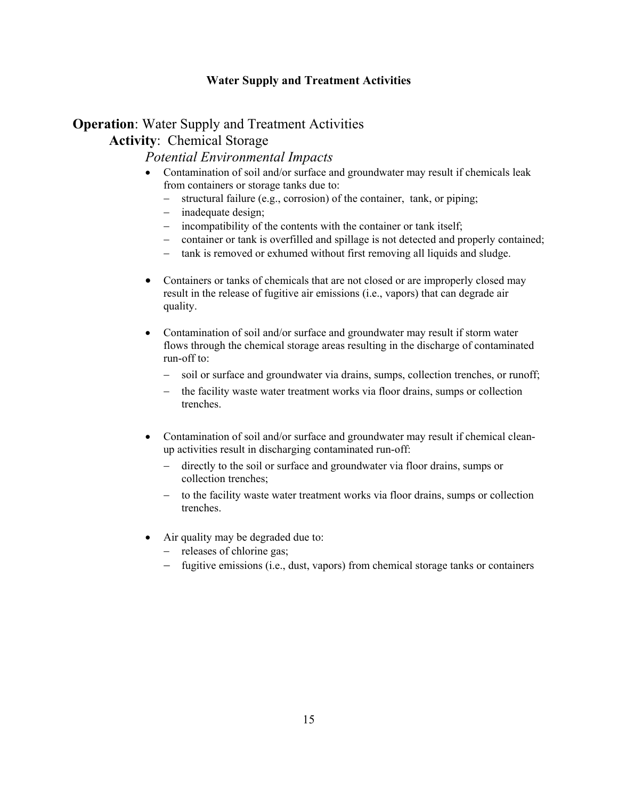### **Water Supply and Treatment Activities**

## **Operation:** Water Supply and Treatment Activities **Activity**: Chemical Storage

- Contamination of soil and/or surface and groundwater may result if chemicals leak from containers or storage tanks due to:
	- − structural failure (e.g., corrosion) of the container, tank, or piping;
	- − inadequate design;
	- − incompatibility of the contents with the container or tank itself;
	- − container or tank is overfilled and spillage is not detected and properly contained;
	- − tank is removed or exhumed without first removing all liquids and sludge.
- Containers or tanks of chemicals that are not closed or are improperly closed may result in the release of fugitive air emissions (i.e., vapors) that can degrade air quality.
- Contamination of soil and/or surface and groundwater may result if storm water flows through the chemical storage areas resulting in the discharge of contaminated run-off to:
	- − soil or surface and groundwater via drains, sumps, collection trenches, or runoff;
	- − the facility waste water treatment works via floor drains, sumps or collection trenches.
- Contamination of soil and/or surface and groundwater may result if chemical cleanup activities result in discharging contaminated run-off:
	- − directly to the soil or surface and groundwater via floor drains, sumps or collection trenches;
	- to the facility waste water treatment works via floor drains, sumps or collection trenches.
- Air quality may be degraded due to:
	- − releases of chlorine gas;
	- − fugitive emissions (i.e., dust, vapors) from chemical storage tanks or containers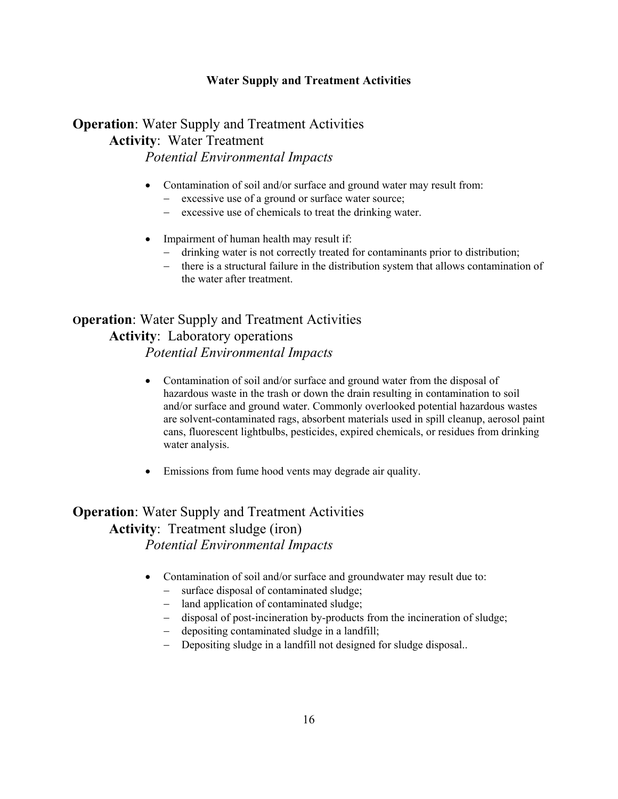### **Water Supply and Treatment Activities**

## **Operation**: Water Supply and Treatment Activities **Activity**: Water Treatment *Potential Environmental Impacts*

- Contamination of soil and/or surface and ground water may result from:
	- − excessive use of a ground or surface water source;
	- − excessive use of chemicals to treat the drinking water.
- Impairment of human health may result if:
	- − drinking water is not correctly treated for contaminants prior to distribution;
	- there is a structural failure in the distribution system that allows contamination of the water after treatment.

## **Operation**: Water Supply and Treatment Activities **Activity**: Laboratory operations *Potential Environmental Impacts*

- Contamination of soil and/or surface and ground water from the disposal of hazardous waste in the trash or down the drain resulting in contamination to soil and/or surface and ground water. Commonly overlooked potential hazardous wastes are solvent-contaminated rags, absorbent materials used in spill cleanup, aerosol paint cans, fluorescent lightbulbs, pesticides, expired chemicals, or residues from drinking water analysis.
- Emissions from fume hood vents may degrade air quality.

## **Operation**: Water Supply and Treatment Activities **Activity**: Treatment sludge (iron) *Potential Environmental Impacts*

- Contamination of soil and/or surface and groundwater may result due to:
	- − surface disposal of contaminated sludge;
	- − land application of contaminated sludge;
	- − disposal of post-incineration by-products from the incineration of sludge;
	- − depositing contaminated sludge in a landfill;
	- Depositing sludge in a landfill not designed for sludge disposal...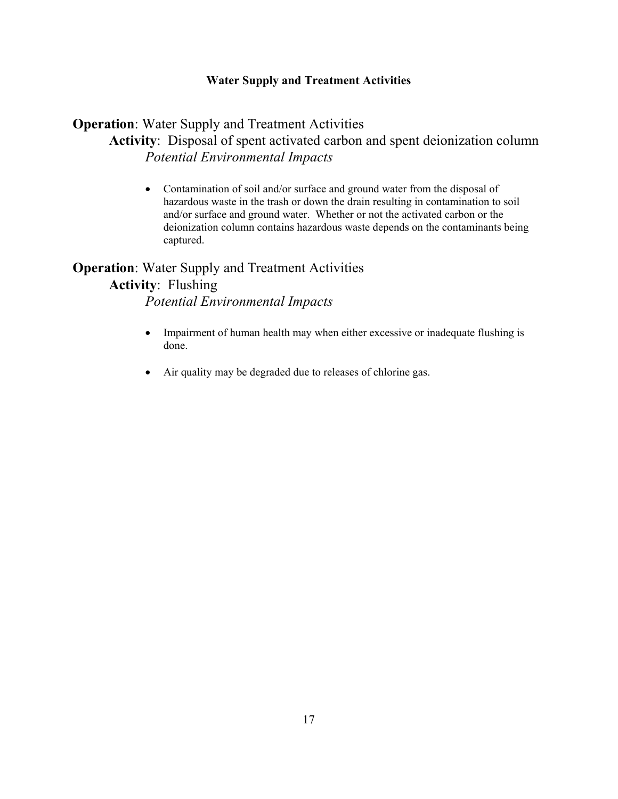### **Water Supply and Treatment Activities**

## **Operation**: Water Supply and Treatment Activities **Activity**: Disposal of spent activated carbon and spent deionization column *Potential Environmental Impacts*

• Contamination of soil and/or surface and ground water from the disposal of hazardous waste in the trash or down the drain resulting in contamination to soil and/or surface and ground water. Whether or not the activated carbon or the deionization column contains hazardous waste depends on the contaminants being captured.

# **Operation**: Water Supply and Treatment Activities **Activity**: Flushing

- Impairment of human health may when either excessive or inadequate flushing is done.
- Air quality may be degraded due to releases of chlorine gas.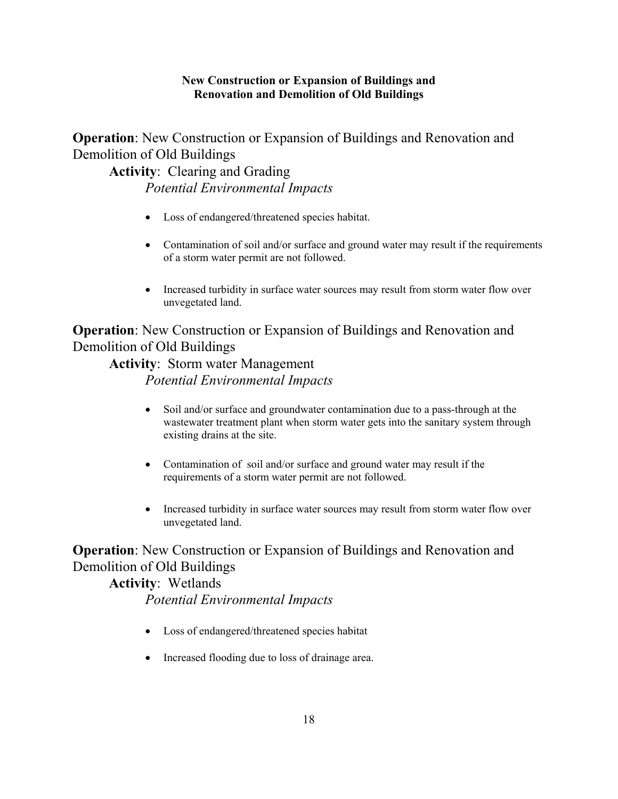**Operation**: New Construction or Expansion of Buildings and Renovation and Demolition of Old Buildings

**Activity**: Clearing and Grading *Potential Environmental Impacts* 

- Loss of endangered/threatened species habitat.
- Contamination of soil and/or surface and ground water may result if the requirements of a storm water permit are not followed.
- Increased turbidity in surface water sources may result from storm water flow over unvegetated land.

## **Operation**: New Construction or Expansion of Buildings and Renovation and Demolition of Old Buildings

## **Activity**: Storm water Management *Potential Environmental Impacts*

- Soil and/or surface and groundwater contamination due to a pass-through at the wastewater treatment plant when storm water gets into the sanitary system through existing drains at the site.
- Contamination of soil and/or surface and ground water may result if the requirements of a storm water permit are not followed.
- Increased turbidity in surface water sources may result from storm water flow over unvegetated land.

## **Operation**: New Construction or Expansion of Buildings and Renovation and Demolition of Old Buildings

## **Activity**: Wetlands *Potential Environmental Impacts*

- Loss of endangered/threatened species habitat
- Increased flooding due to loss of drainage area.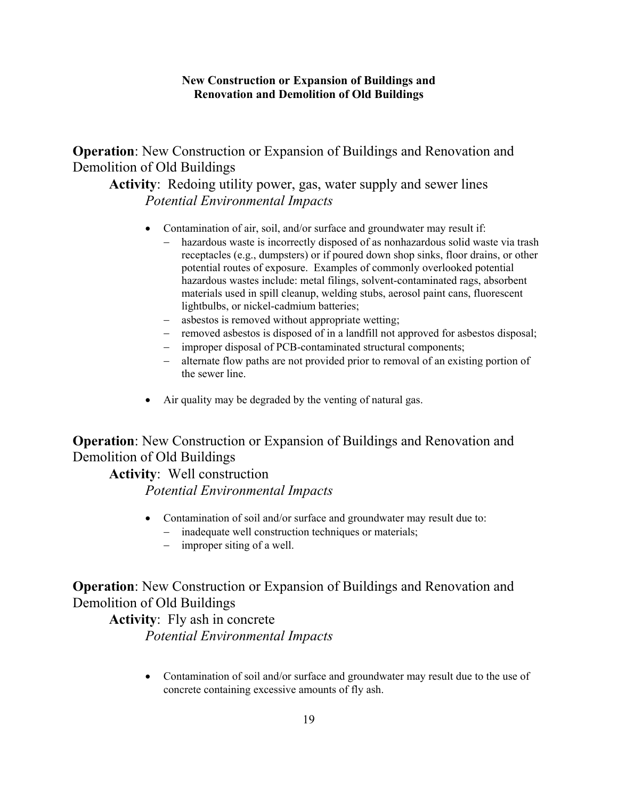**Operation**: New Construction or Expansion of Buildings and Renovation and Demolition of Old Buildings

**Activity**: Redoing utility power, gas, water supply and sewer lines *Potential Environmental Impacts* 

- Contamination of air, soil, and/or surface and groundwater may result if:
	- − hazardous waste is incorrectly disposed of as nonhazardous solid waste via trash receptacles (e.g., dumpsters) or if poured down shop sinks, floor drains, or other potential routes of exposure. Examples of commonly overlooked potential hazardous wastes include: metal filings, solvent-contaminated rags, absorbent materials used in spill cleanup, welding stubs, aerosol paint cans, fluorescent lightbulbs, or nickel-cadmium batteries;
	- − asbestos is removed without appropriate wetting;
	- − removed asbestos is disposed of in a landfill not approved for asbestos disposal;
	- − improper disposal of PCB-contaminated structural components;
	- − alternate flow paths are not provided prior to removal of an existing portion of the sewer line.
- Air quality may be degraded by the venting of natural gas.

## **Operation**: New Construction or Expansion of Buildings and Renovation and Demolition of Old Buildings

### **Activity**: Well construction

*Potential Environmental Impacts* 

- Contamination of soil and/or surface and groundwater may result due to:
	- − inadequate well construction techniques or materials;
	- − improper siting of a well.

## **Operation**: New Construction or Expansion of Buildings and Renovation and Demolition of Old Buildings

## **Activity**: Fly ash in concrete *Potential Environmental Impacts*

• Contamination of soil and/or surface and groundwater may result due to the use of concrete containing excessive amounts of fly ash.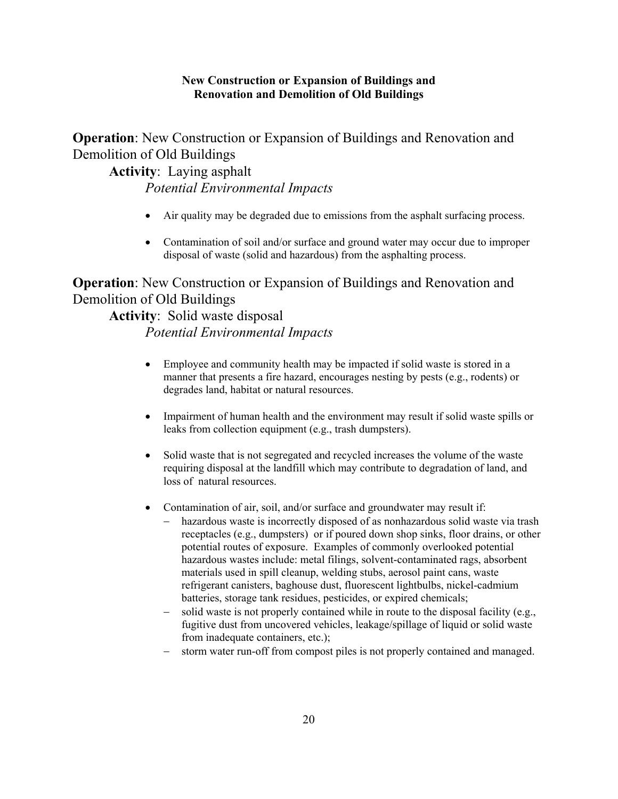**Operation**: New Construction or Expansion of Buildings and Renovation and Demolition of Old Buildings

**Activity**: Laying asphalt *Potential Environmental Impacts* 

- Air quality may be degraded due to emissions from the asphalt surfacing process.
- Contamination of soil and/or surface and ground water may occur due to improper disposal of waste (solid and hazardous) from the asphalting process.

**Operation**: New Construction or Expansion of Buildings and Renovation and Demolition of Old Buildings

**Activity**: Solid waste disposal *Potential Environmental Impacts* 

- Employee and community health may be impacted if solid waste is stored in a manner that presents a fire hazard, encourages nesting by pests (e.g., rodents) or degrades land, habitat or natural resources.
- Impairment of human health and the environment may result if solid waste spills or leaks from collection equipment (e.g., trash dumpsters).
- Solid waste that is not segregated and recycled increases the volume of the waste requiring disposal at the landfill which may contribute to degradation of land, and loss of natural resources.
- Contamination of air, soil, and/or surface and groundwater may result if:
	- hazardous waste is incorrectly disposed of as nonhazardous solid waste via trash receptacles (e.g., dumpsters) or if poured down shop sinks, floor drains, or other potential routes of exposure. Examples of commonly overlooked potential hazardous wastes include: metal filings, solvent-contaminated rags, absorbent materials used in spill cleanup, welding stubs, aerosol paint cans, waste refrigerant canisters, baghouse dust, fluorescent lightbulbs, nickel-cadmium batteries, storage tank residues, pesticides, or expired chemicals;
	- − solid waste is not properly contained while in route to the disposal facility (e.g., fugitive dust from uncovered vehicles, leakage/spillage of liquid or solid waste from inadequate containers, etc.);
	- storm water run-off from compost piles is not properly contained and managed.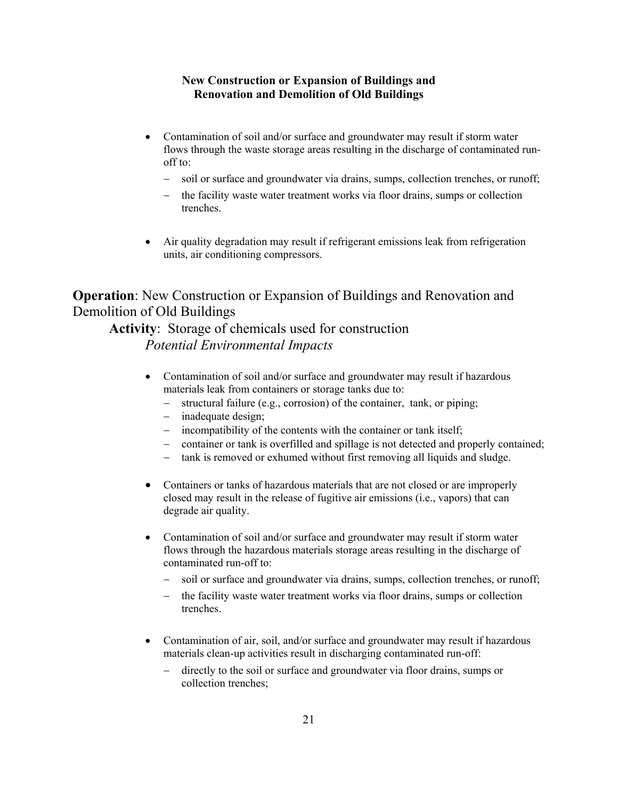- Contamination of soil and/or surface and groundwater may result if storm water flows through the waste storage areas resulting in the discharge of contaminated runoff to:
	- − soil or surface and groundwater via drains, sumps, collection trenches, or runoff;
	- the facility waste water treatment works via floor drains, sumps or collection trenches.
- Air quality degradation may result if refrigerant emissions leak from refrigeration units, air conditioning compressors.

## **Operation**: New Construction or Expansion of Buildings and Renovation and Demolition of Old Buildings

# **Activity**: Storage of chemicals used for construction

- Contamination of soil and/or surface and groundwater may result if hazardous materials leak from containers or storage tanks due to:
	- − structural failure (e.g., corrosion) of the container, tank, or piping;
	- − inadequate design;
	- − incompatibility of the contents with the container or tank itself;
	- − container or tank is overfilled and spillage is not detected and properly contained;
	- − tank is removed or exhumed without first removing all liquids and sludge.
- Containers or tanks of hazardous materials that are not closed or are improperly closed may result in the release of fugitive air emissions (i.e., vapors) that can degrade air quality.
- Contamination of soil and/or surface and groundwater may result if storm water flows through the hazardous materials storage areas resulting in the discharge of contaminated run-off to:
	- − soil or surface and groundwater via drains, sumps, collection trenches, or runoff;
	- the facility waste water treatment works via floor drains, sumps or collection trenches.
- Contamination of air, soil, and/or surface and groundwater may result if hazardous materials clean-up activities result in discharging contaminated run-off:
	- directly to the soil or surface and groundwater via floor drains, sumps or collection trenches;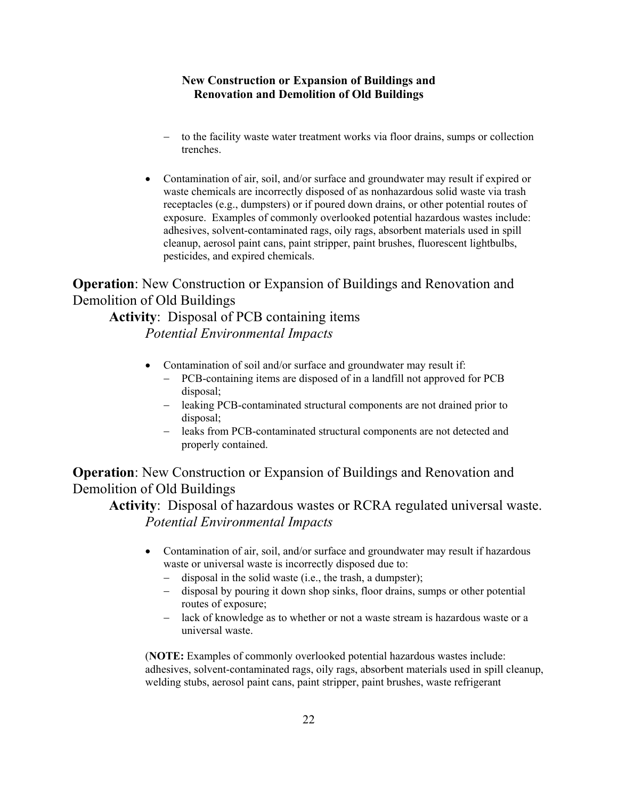- to the facility waste water treatment works via floor drains, sumps or collection trenches.
- Contamination of air, soil, and/or surface and groundwater may result if expired or waste chemicals are incorrectly disposed of as nonhazardous solid waste via trash receptacles (e.g., dumpsters) or if poured down drains, or other potential routes of exposure. Examples of commonly overlooked potential hazardous wastes include: adhesives, solvent-contaminated rags, oily rags, absorbent materials used in spill cleanup, aerosol paint cans, paint stripper, paint brushes, fluorescent lightbulbs, pesticides, and expired chemicals.

**Operation**: New Construction or Expansion of Buildings and Renovation and Demolition of Old Buildings

**Activity**: Disposal of PCB containing items *Potential Environmental Impacts* 

- Contamination of soil and/or surface and groundwater may result if:
	- PCB-containing items are disposed of in a landfill not approved for PCB disposal;
	- − leaking PCB-contaminated structural components are not drained prior to disposal;
	- − leaks from PCB-contaminated structural components are not detected and properly contained.

**Operation**: New Construction or Expansion of Buildings and Renovation and Demolition of Old Buildings

**Activity**: Disposal of hazardous wastes or RCRA regulated universal waste. *Potential Environmental Impacts* 

- Contamination of air, soil, and/or surface and groundwater may result if hazardous waste or universal waste is incorrectly disposed due to:
	- − disposal in the solid waste (i.e., the trash, a dumpster);
	- − disposal by pouring it down shop sinks, floor drains, sumps or other potential routes of exposure;
	- − lack of knowledge as to whether or not a waste stream is hazardous waste or a universal waste.

(**NOTE:** Examples of commonly overlooked potential hazardous wastes include: adhesives, solvent-contaminated rags, oily rags, absorbent materials used in spill cleanup, welding stubs, aerosol paint cans, paint stripper, paint brushes, waste refrigerant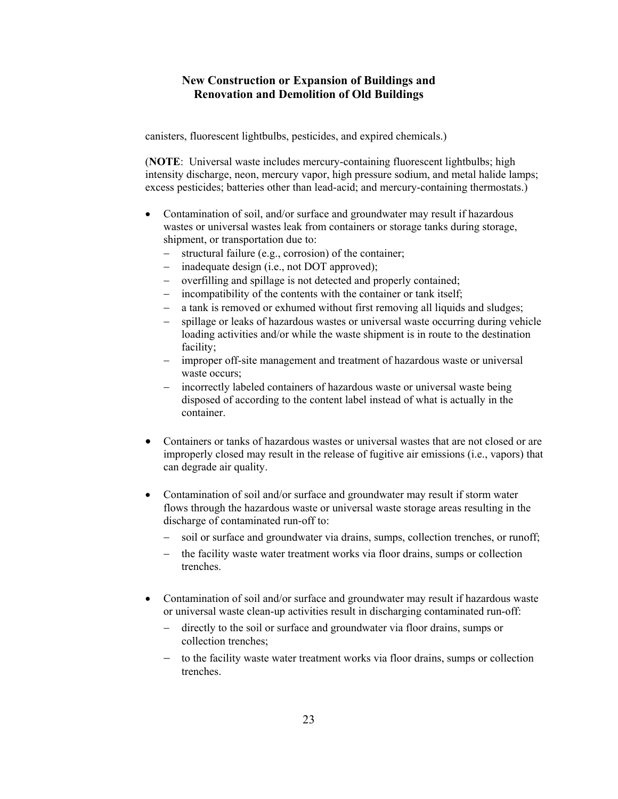canisters, fluorescent lightbulbs, pesticides, and expired chemicals.)

(**NOTE**: Universal waste includes mercury-containing fluorescent lightbulbs; high intensity discharge, neon, mercury vapor, high pressure sodium, and metal halide lamps; excess pesticides; batteries other than lead-acid; and mercury-containing thermostats.)

- Contamination of soil, and/or surface and groundwater may result if hazardous wastes or universal wastes leak from containers or storage tanks during storage, shipment, or transportation due to:
	- − structural failure (e.g., corrosion) of the container;
	- inadequate design (i.e., not DOT approved);
	- − overfilling and spillage is not detected and properly contained;
	- − incompatibility of the contents with the container or tank itself;
	- a tank is removed or exhumed without first removing all liquids and sludges;
	- − spillage or leaks of hazardous wastes or universal waste occurring during vehicle loading activities and/or while the waste shipment is in route to the destination facility;
	- − improper off-site management and treatment of hazardous waste or universal waste occurs:
	- − incorrectly labeled containers of hazardous waste or universal waste being disposed of according to the content label instead of what is actually in the container.
- Containers or tanks of hazardous wastes or universal wastes that are not closed or are improperly closed may result in the release of fugitive air emissions (i.e., vapors) that can degrade air quality.
- Contamination of soil and/or surface and groundwater may result if storm water flows through the hazardous waste or universal waste storage areas resulting in the discharge of contaminated run-off to:
	- − soil or surface and groundwater via drains, sumps, collection trenches, or runoff;
	- the facility waste water treatment works via floor drains, sumps or collection trenches.
- Contamination of soil and/or surface and groundwater may result if hazardous waste or universal waste clean-up activities result in discharging contaminated run-off:
	- − directly to the soil or surface and groundwater via floor drains, sumps or collection trenches;
	- − to the facility waste water treatment works via floor drains, sumps or collection trenches.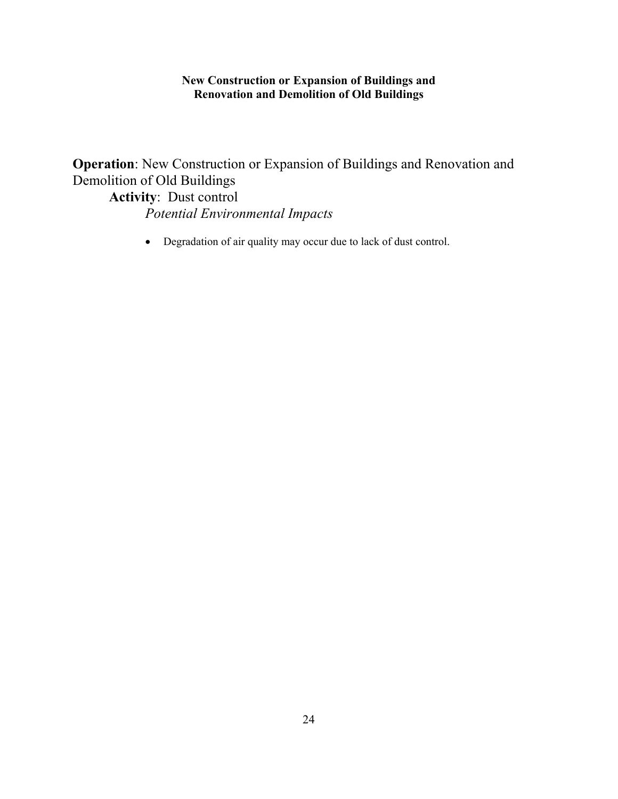**Operation**: New Construction or Expansion of Buildings and Renovation and Demolition of Old Buildings

**Activity**: Dust control *Potential Environmental Impacts* 

• Degradation of air quality may occur due to lack of dust control.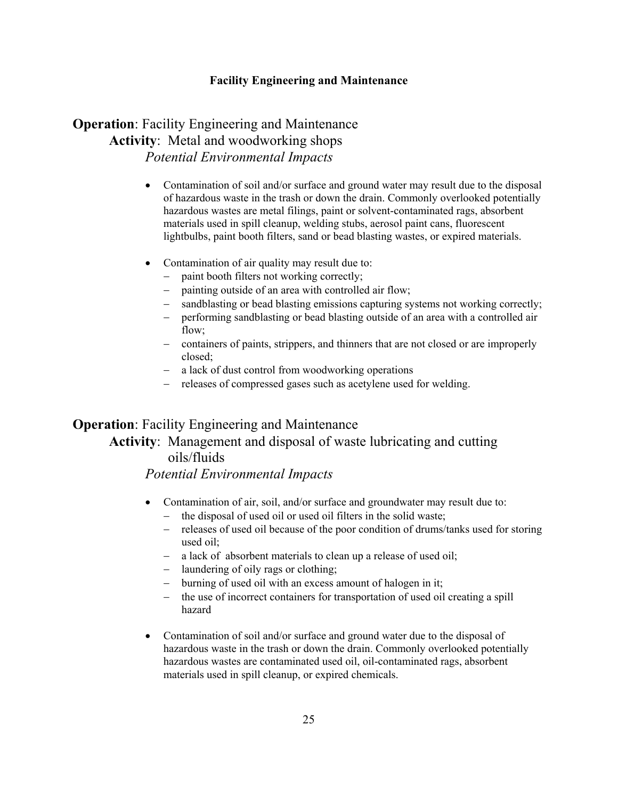## **Operation**: Facility Engineering and Maintenance **Activity**: Metal and woodworking shops *Potential Environmental Impacts*

- Contamination of soil and/or surface and ground water may result due to the disposal of hazardous waste in the trash or down the drain. Commonly overlooked potentially hazardous wastes are metal filings, paint or solvent-contaminated rags, absorbent materials used in spill cleanup, welding stubs, aerosol paint cans, fluorescent lightbulbs, paint booth filters, sand or bead blasting wastes, or expired materials.
- Contamination of air quality may result due to:
	- paint booth filters not working correctly;
	- − painting outside of an area with controlled air flow;
	- sandblasting or bead blasting emissions capturing systems not working correctly;
	- − performing sandblasting or bead blasting outside of an area with a controlled air flow:
	- − containers of paints, strippers, and thinners that are not closed or are improperly closed;
	- − a lack of dust control from woodworking operations
	- − releases of compressed gases such as acetylene used for welding.

## **Operation**: Facility Engineering and Maintenance

## **Activity**: Management and disposal of waste lubricating and cutting oils/fluids

- Contamination of air, soil, and/or surface and groundwater may result due to:
	- the disposal of used oil or used oil filters in the solid waste;
	- − releases of used oil because of the poor condition of drums/tanks used for storing used oil;
	- − a lack of absorbent materials to clean up a release of used oil;
	- − laundering of oily rags or clothing;
	- − burning of used oil with an excess amount of halogen in it;
	- the use of incorrect containers for transportation of used oil creating a spill hazard
- Contamination of soil and/or surface and ground water due to the disposal of hazardous waste in the trash or down the drain. Commonly overlooked potentially hazardous wastes are contaminated used oil, oil-contaminated rags, absorbent materials used in spill cleanup, or expired chemicals.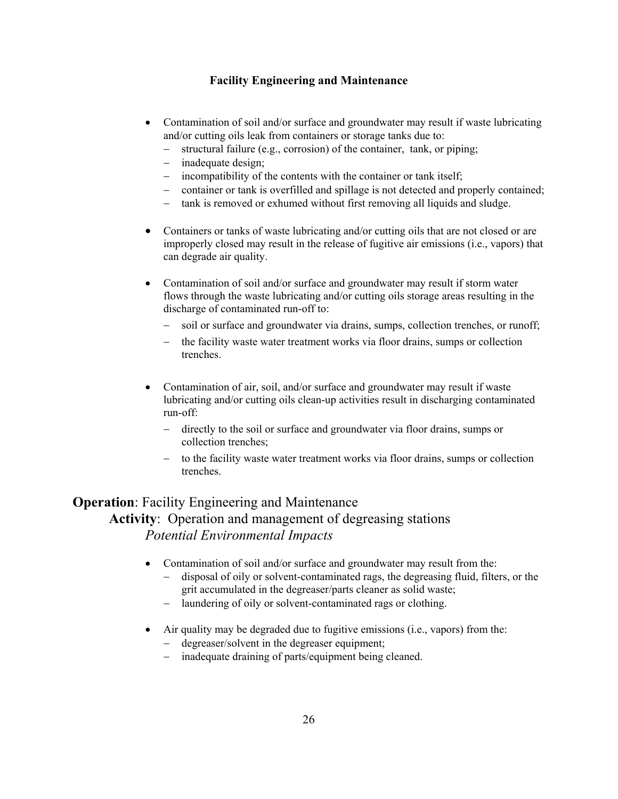- Contamination of soil and/or surface and groundwater may result if waste lubricating and/or cutting oils leak from containers or storage tanks due to:
	- structural failure (e.g., corrosion) of the container, tank, or piping;
	- − inadequate design;
	- incompatibility of the contents with the container or tank itself;
	- − container or tank is overfilled and spillage is not detected and properly contained;
	- − tank is removed or exhumed without first removing all liquids and sludge.
- Containers or tanks of waste lubricating and/or cutting oils that are not closed or are improperly closed may result in the release of fugitive air emissions (i.e., vapors) that can degrade air quality.
- Contamination of soil and/or surface and groundwater may result if storm water flows through the waste lubricating and/or cutting oils storage areas resulting in the discharge of contaminated run-off to:
	- soil or surface and groundwater via drains, sumps, collection trenches, or runoff;
	- the facility waste water treatment works via floor drains, sumps or collection trenches.
- Contamination of air, soil, and/or surface and groundwater may result if waste lubricating and/or cutting oils clean-up activities result in discharging contaminated run-off:
	- − directly to the soil or surface and groundwater via floor drains, sumps or collection trenches;
	- − to the facility waste water treatment works via floor drains, sumps or collection trenches.

## **Operation**: Facility Engineering and Maintenance **Activity**: Operation and management of degreasing stations *Potential Environmental Impacts*

- Contamination of soil and/or surface and groundwater may result from the:
	- − disposal of oily or solvent-contaminated rags, the degreasing fluid, filters, or the grit accumulated in the degreaser/parts cleaner as solid waste;
	- − laundering of oily or solvent-contaminated rags or clothing.
- Air quality may be degraded due to fugitive emissions (i.e., vapors) from the:
	- − degreaser/solvent in the degreaser equipment;
	- − inadequate draining of parts/equipment being cleaned.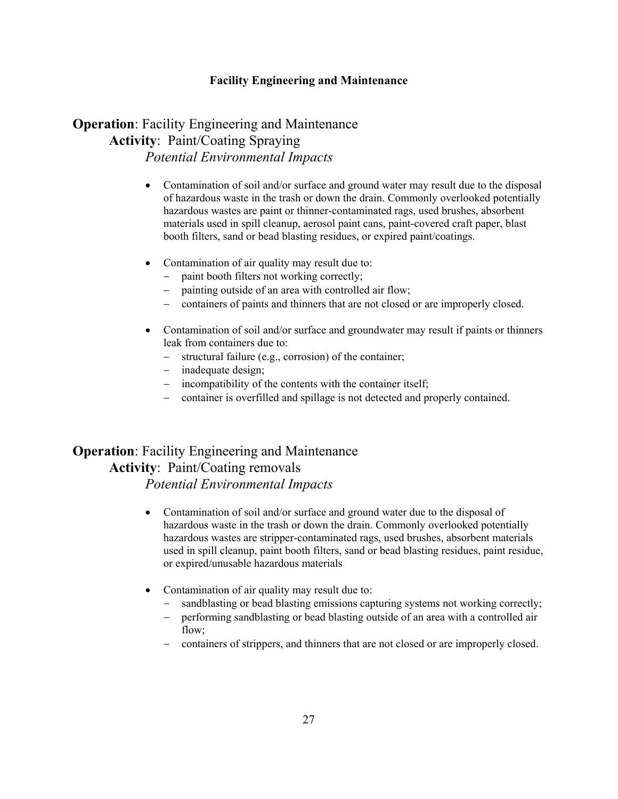## **Operation**: Facility Engineering and Maintenance **Activity**: Paint/Coating Spraying *Potential Environmental Impacts*

- Contamination of soil and/or surface and ground water may result due to the disposal of hazardous waste in the trash or down the drain. Commonly overlooked potentially hazardous wastes are paint or thinner-contaminated rags, used brushes, absorbent materials used in spill cleanup, aerosol paint cans, paint-covered craft paper, blast booth filters, sand or bead blasting residues, or expired paint/coatings.
- Contamination of air quality may result due to:
	- paint booth filters not working correctly;
	- − painting outside of an area with controlled air flow;
	- − containers of paints and thinners that are not closed or are improperly closed.
- Contamination of soil and/or surface and groundwater may result if paints or thinners leak from containers due to:
	- − structural failure (e.g., corrosion) of the container;
	- − inadequate design;
	- − incompatibility of the contents with the container itself;
	- − container is overfilled and spillage is not detected and properly contained.

## **Operation**: Facility Engineering and Maintenance **Activity**: Paint/Coating removals

- Contamination of soil and/or surface and ground water due to the disposal of hazardous waste in the trash or down the drain. Commonly overlooked potentially hazardous wastes are stripper-contaminated rags, used brushes, absorbent materials used in spill cleanup, paint booth filters, sand or bead blasting residues, paint residue, or expired/unusable hazardous materials
- Contamination of air quality may result due to:
	- sandblasting or bead blasting emissions capturing systems not working correctly;
	- − performing sandblasting or bead blasting outside of an area with a controlled air flow:
	- − containers of strippers, and thinners that are not closed or are improperly closed.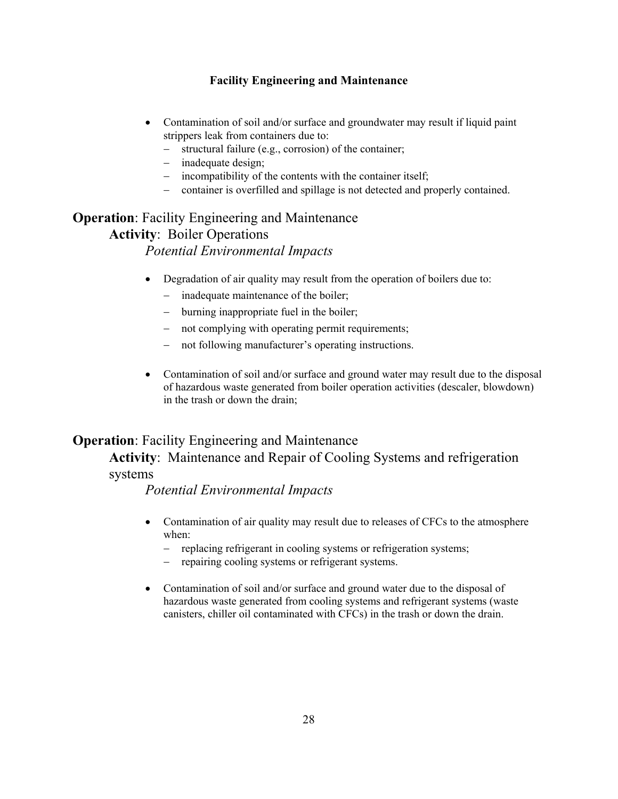- Contamination of soil and/or surface and groundwater may result if liquid paint strippers leak from containers due to:
	- structural failure (e.g., corrosion) of the container;
	- − inadequate design;
	- − incompatibility of the contents with the container itself;
	- − container is overfilled and spillage is not detected and properly contained.

# **Operation**: Facility Engineering and Maintenance **Activity**: Boiler Operations

## *Potential Environmental Impacts*

- Degradation of air quality may result from the operation of boilers due to:
	- − inadequate maintenance of the boiler;
	- − burning inappropriate fuel in the boiler;
	- − not complying with operating permit requirements;
	- − not following manufacturer's operating instructions.
- Contamination of soil and/or surface and ground water may result due to the disposal of hazardous waste generated from boiler operation activities (descaler, blowdown) in the trash or down the drain;

## **Operation**: Facility Engineering and Maintenance

**Activity**: Maintenance and Repair of Cooling Systems and refrigeration systems

- Contamination of air quality may result due to releases of CFCs to the atmosphere when:
	- replacing refrigerant in cooling systems or refrigeration systems;
	- repairing cooling systems or refrigerant systems.
- Contamination of soil and/or surface and ground water due to the disposal of hazardous waste generated from cooling systems and refrigerant systems (waste canisters, chiller oil contaminated with CFCs) in the trash or down the drain.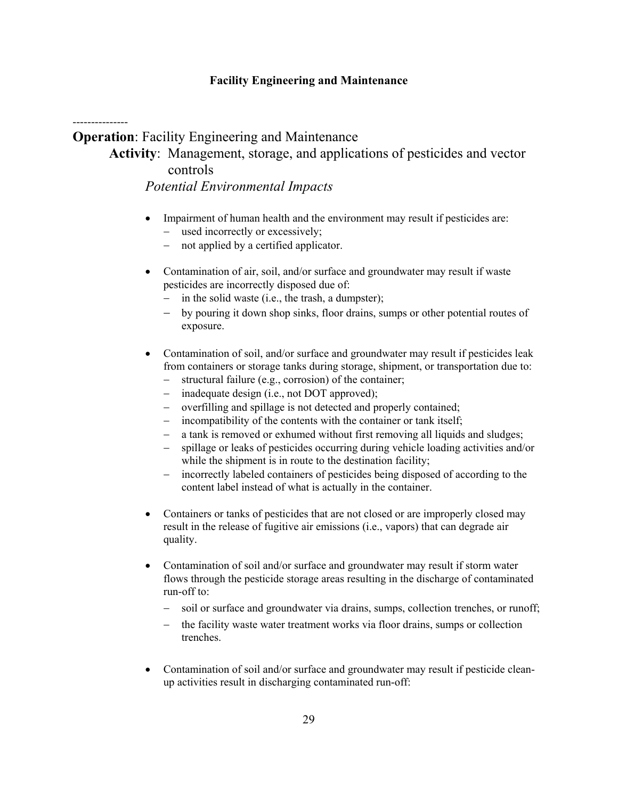---------------

**Operation**: Facility Engineering and Maintenance

# **Activity**: Management, storage, and applications of pesticides and vector controls

- Impairment of human health and the environment may result if pesticides are: − used incorrectly or excessively;
	- not applied by a certified applicator.
- Contamination of air, soil, and/or surface and groundwater may result if waste pesticides are incorrectly disposed due of:
	- in the solid waste (i.e., the trash, a dumpster);
	- by pouring it down shop sinks, floor drains, sumps or other potential routes of exposure.
- Contamination of soil, and/or surface and groundwater may result if pesticides leak from containers or storage tanks during storage, shipment, or transportation due to:
	- − structural failure (e.g., corrosion) of the container;
	- inadequate design (i.e., not DOT approved);
	- − overfilling and spillage is not detected and properly contained;
	- incompatibility of the contents with the container or tank itself;
	- a tank is removed or exhumed without first removing all liquids and sludges;
	- spillage or leaks of pesticides occurring during vehicle loading activities and/or while the shipment is in route to the destination facility;
	- − incorrectly labeled containers of pesticides being disposed of according to the content label instead of what is actually in the container.
- Containers or tanks of pesticides that are not closed or are improperly closed may result in the release of fugitive air emissions (i.e., vapors) that can degrade air quality.
- Contamination of soil and/or surface and groundwater may result if storm water flows through the pesticide storage areas resulting in the discharge of contaminated run-off to:
	- soil or surface and groundwater via drains, sumps, collection trenches, or runoff;
	- − the facility waste water treatment works via floor drains, sumps or collection trenches.
- Contamination of soil and/or surface and groundwater may result if pesticide cleanup activities result in discharging contaminated run-off: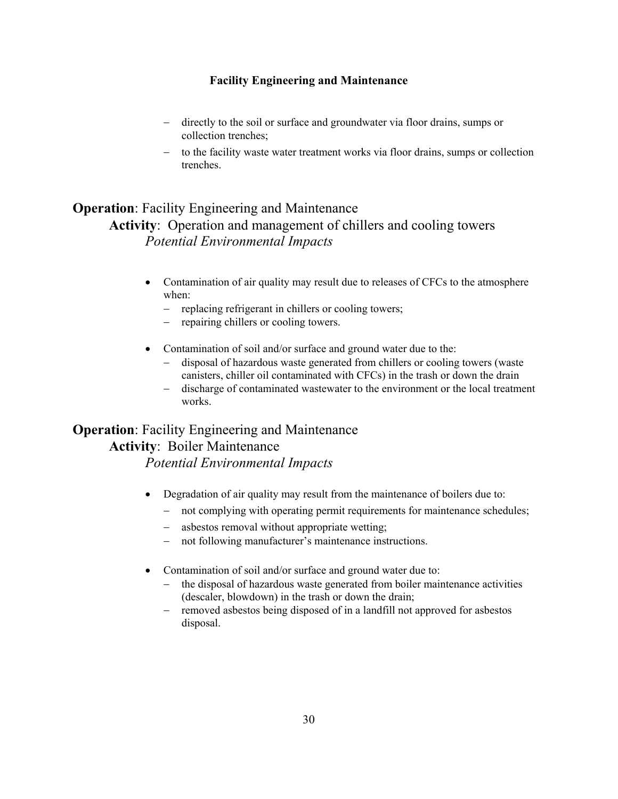- − directly to the soil or surface and groundwater via floor drains, sumps or collection trenches;
- − to the facility waste water treatment works via floor drains, sumps or collection trenches.

## **Operation**: Facility Engineering and Maintenance **Activity**: Operation and management of chillers and cooling towers *Potential Environmental Impacts*

- Contamination of air quality may result due to releases of CFCs to the atmosphere when:
	- − replacing refrigerant in chillers or cooling towers;
	- − repairing chillers or cooling towers.
- Contamination of soil and/or surface and ground water due to the:
	- − disposal of hazardous waste generated from chillers or cooling towers (waste canisters, chiller oil contaminated with CFCs) in the trash or down the drain
	- − discharge of contaminated wastewater to the environment or the local treatment works.

# **Operation**: Facility Engineering and Maintenance **Activity**: Boiler Maintenance

- Degradation of air quality may result from the maintenance of boilers due to:
	- − not complying with operating permit requirements for maintenance schedules;
	- asbestos removal without appropriate wetting;
	- − not following manufacturer's maintenance instructions.
- Contamination of soil and/or surface and ground water due to:
	- the disposal of hazardous waste generated from boiler maintenance activities (descaler, blowdown) in the trash or down the drain;
	- − removed asbestos being disposed of in a landfill not approved for asbestos disposal.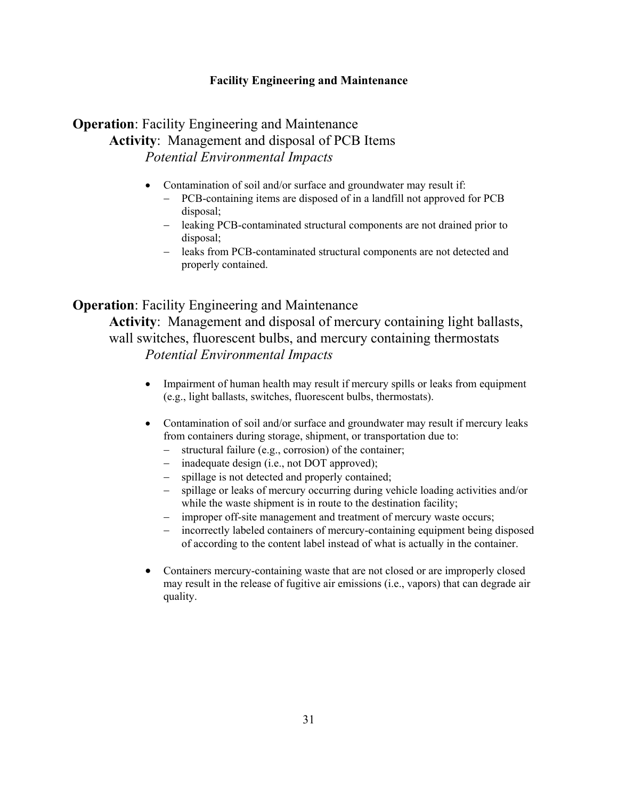## **Operation**: Facility Engineering and Maintenance **Activity**: Management and disposal of PCB Items *Potential Environmental Impacts*

- Contamination of soil and/or surface and groundwater may result if:
	- − PCB-containing items are disposed of in a landfill not approved for PCB disposal;
	- − leaking PCB-contaminated structural components are not drained prior to disposal;
	- − leaks from PCB-contaminated structural components are not detected and properly contained.

### **Operation**: Facility Engineering and Maintenance

**Activity**: Management and disposal of mercury containing light ballasts, wall switches, fluorescent bulbs, and mercury containing thermostats *Potential Environmental Impacts* 

- Impairment of human health may result if mercury spills or leaks from equipment (e.g., light ballasts, switches, fluorescent bulbs, thermostats).
- Contamination of soil and/or surface and groundwater may result if mercury leaks from containers during storage, shipment, or transportation due to:
	- − structural failure (e.g., corrosion) of the container;
	- inadequate design (i.e., not DOT approved);
	- − spillage is not detected and properly contained;
	- spillage or leaks of mercury occurring during vehicle loading activities and/or while the waste shipment is in route to the destination facility;
	- − improper off-site management and treatment of mercury waste occurs;
	- incorrectly labeled containers of mercury-containing equipment being disposed of according to the content label instead of what is actually in the container.
- Containers mercury-containing waste that are not closed or are improperly closed may result in the release of fugitive air emissions (i.e., vapors) that can degrade air quality.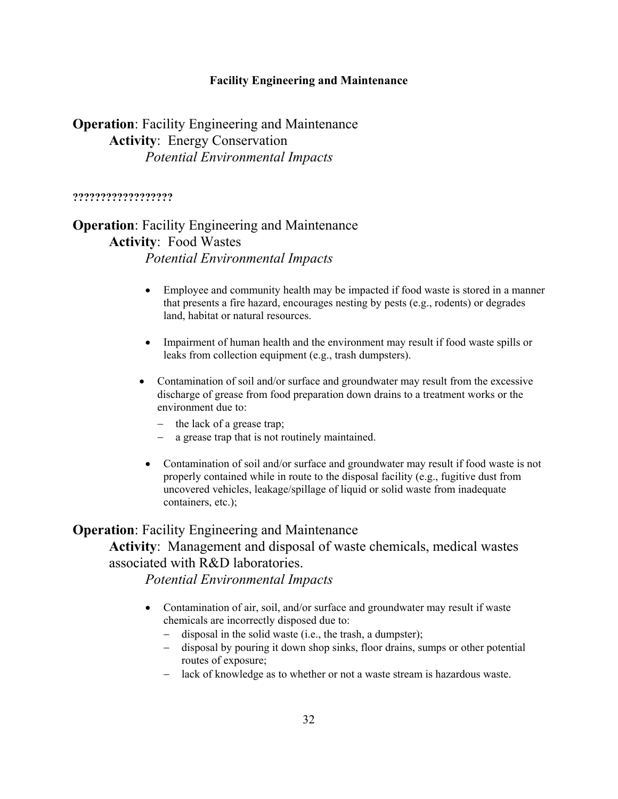## **Operation**: Facility Engineering and Maintenance **Activity**: Energy Conservation *Potential Environmental Impacts*

#### **??????????????????**

## **Operation**: Facility Engineering and Maintenance **Activity**: Food Wastes *Potential Environmental Impacts*

- Employee and community health may be impacted if food waste is stored in a manner that presents a fire hazard, encourages nesting by pests (e.g., rodents) or degrades land, habitat or natural resources.
- Impairment of human health and the environment may result if food waste spills or leaks from collection equipment (e.g., trash dumpsters).
- Contamination of soil and/or surface and groundwater may result from the excessive discharge of grease from food preparation down drains to a treatment works or the environment due to:
	- − the lack of a grease trap;
	- − a grease trap that is not routinely maintained.
- Contamination of soil and/or surface and groundwater may result if food waste is not properly contained while in route to the disposal facility (e.g., fugitive dust from uncovered vehicles, leakage/spillage of liquid or solid waste from inadequate containers, etc.);

### **Operation**: Facility Engineering and Maintenance

## **Activity**: Management and disposal of waste chemicals, medical wastes associated with R&D laboratories.

- Contamination of air, soil, and/or surface and groundwater may result if waste chemicals are incorrectly disposed due to:
	- − disposal in the solid waste (i.e., the trash, a dumpster);
	- − disposal by pouring it down shop sinks, floor drains, sumps or other potential routes of exposure;
	- − lack of knowledge as to whether or not a waste stream is hazardous waste.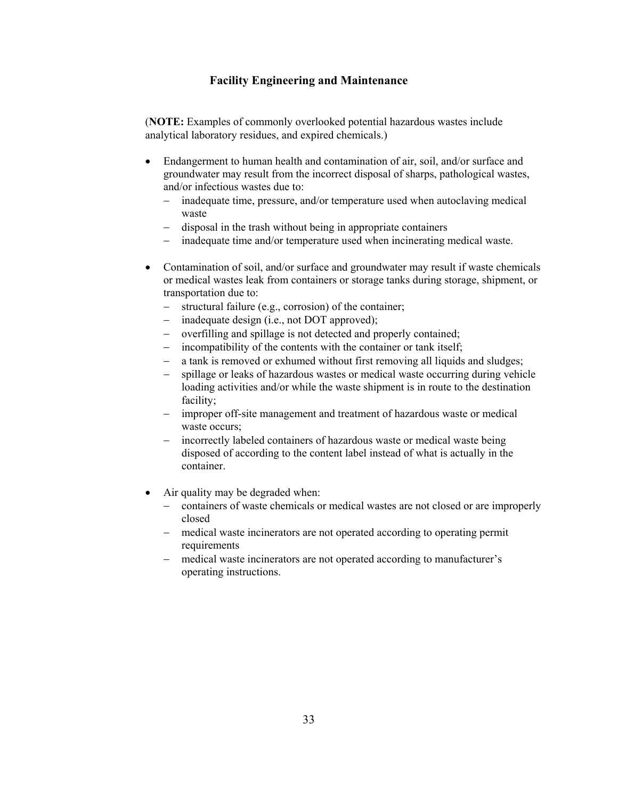(**NOTE:** Examples of commonly overlooked potential hazardous wastes include analytical laboratory residues, and expired chemicals.)

- Endangerment to human health and contamination of air, soil, and/or surface and groundwater may result from the incorrect disposal of sharps, pathological wastes, and/or infectious wastes due to:
	- − inadequate time, pressure, and/or temperature used when autoclaving medical waste
	- − disposal in the trash without being in appropriate containers
	- inadequate time and/or temperature used when incinerating medical waste.
- Contamination of soil, and/or surface and groundwater may result if waste chemicals or medical wastes leak from containers or storage tanks during storage, shipment, or transportation due to:
	- − structural failure (e.g., corrosion) of the container;
	- inadequate design (i.e., not DOT approved);
	- − overfilling and spillage is not detected and properly contained;
	- − incompatibility of the contents with the container or tank itself;
	- a tank is removed or exhumed without first removing all liquids and sludges;
	- − spillage or leaks of hazardous wastes or medical waste occurring during vehicle loading activities and/or while the waste shipment is in route to the destination facility;
	- − improper off-site management and treatment of hazardous waste or medical waste occurs;
	- − incorrectly labeled containers of hazardous waste or medical waste being disposed of according to the content label instead of what is actually in the container.
- Air quality may be degraded when:
	- − containers of waste chemicals or medical wastes are not closed or are improperly closed
	- − medical waste incinerators are not operated according to operating permit requirements
	- − medical waste incinerators are not operated according to manufacturer's operating instructions.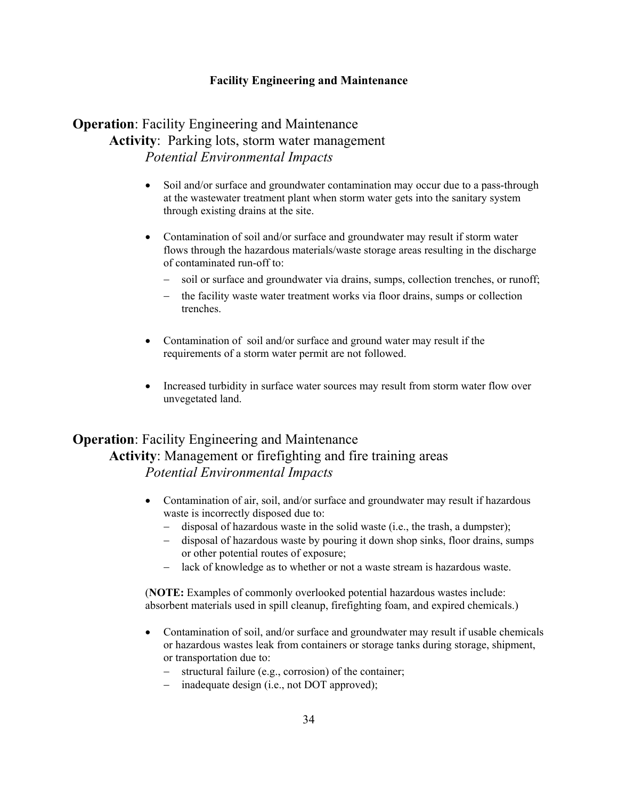## **Operation**: Facility Engineering and Maintenance **Activity**: Parking lots, storm water management *Potential Environmental Impacts*

- Soil and/or surface and groundwater contamination may occur due to a pass-through at the wastewater treatment plant when storm water gets into the sanitary system through existing drains at the site.
- Contamination of soil and/or surface and groundwater may result if storm water flows through the hazardous materials/waste storage areas resulting in the discharge of contaminated run-off to:
	- soil or surface and groundwater via drains, sumps, collection trenches, or runoff;
	- the facility waste water treatment works via floor drains, sumps or collection trenches.
- Contamination of soil and/or surface and ground water may result if the requirements of a storm water permit are not followed.
- Increased turbidity in surface water sources may result from storm water flow over unvegetated land.

## **Operation**: Facility Engineering and Maintenance **Activity**: Management or firefighting and fire training areas *Potential Environmental Impacts*

- Contamination of air, soil, and/or surface and groundwater may result if hazardous waste is incorrectly disposed due to:
	- − disposal of hazardous waste in the solid waste (i.e., the trash, a dumpster);
	- − disposal of hazardous waste by pouring it down shop sinks, floor drains, sumps or other potential routes of exposure;
	- − lack of knowledge as to whether or not a waste stream is hazardous waste.

(**NOTE:** Examples of commonly overlooked potential hazardous wastes include: absorbent materials used in spill cleanup, firefighting foam, and expired chemicals.)

- Contamination of soil, and/or surface and groundwater may result if usable chemicals or hazardous wastes leak from containers or storage tanks during storage, shipment, or transportation due to:
	- − structural failure (e.g., corrosion) of the container;
	- − inadequate design (i.e., not DOT approved);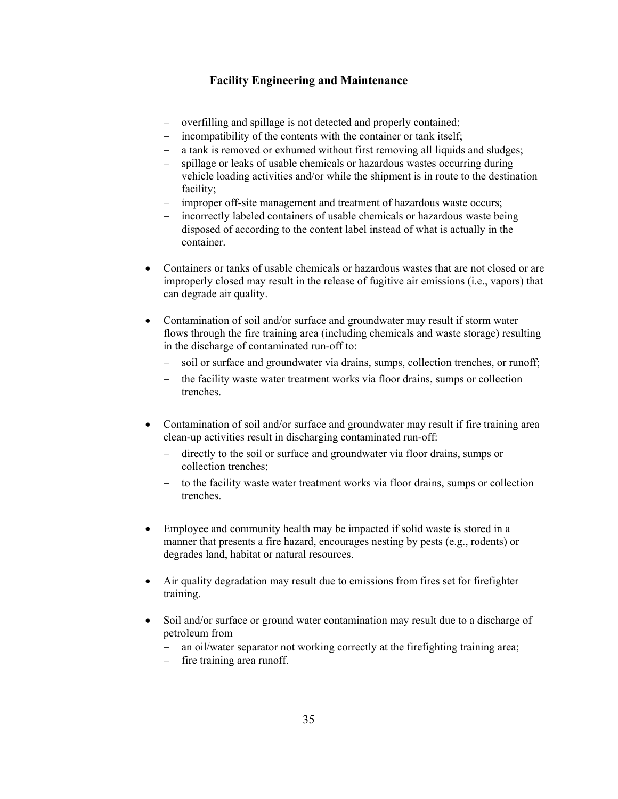- − overfilling and spillage is not detected and properly contained;
- − incompatibility of the contents with the container or tank itself;
- a tank is removed or exhumed without first removing all liquids and sludges;
- − spillage or leaks of usable chemicals or hazardous wastes occurring during vehicle loading activities and/or while the shipment is in route to the destination facility;
- − improper off-site management and treatment of hazardous waste occurs;
- incorrectly labeled containers of usable chemicals or hazardous waste being disposed of according to the content label instead of what is actually in the container.
- Containers or tanks of usable chemicals or hazardous wastes that are not closed or are improperly closed may result in the release of fugitive air emissions (i.e., vapors) that can degrade air quality.
- Contamination of soil and/or surface and groundwater may result if storm water flows through the fire training area (including chemicals and waste storage) resulting in the discharge of contaminated run-off to:
	- soil or surface and groundwater via drains, sumps, collection trenches, or runoff;
	- − the facility waste water treatment works via floor drains, sumps or collection trenches.
- Contamination of soil and/or surface and groundwater may result if fire training area clean-up activities result in discharging contaminated run-off:
	- − directly to the soil or surface and groundwater via floor drains, sumps or collection trenches;
	- − to the facility waste water treatment works via floor drains, sumps or collection trenches.
- Employee and community health may be impacted if solid waste is stored in a manner that presents a fire hazard, encourages nesting by pests (e.g., rodents) or degrades land, habitat or natural resources.
- Air quality degradation may result due to emissions from fires set for firefighter training.
- Soil and/or surface or ground water contamination may result due to a discharge of petroleum from
	- − an oil/water separator not working correctly at the firefighting training area;
	- − fire training area runoff.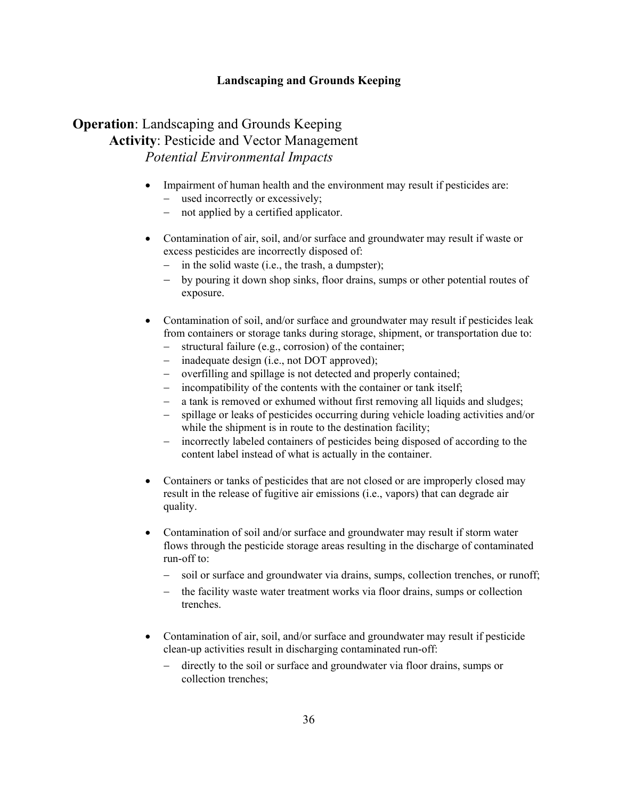## **Operation**: Landscaping and Grounds Keeping **Activity**: Pesticide and Vector Management *Potential Environmental Impacts*

- Impairment of human health and the environment may result if pesticides are: − used incorrectly or excessively;
	- not applied by a certified applicator.
- Contamination of air, soil, and/or surface and groundwater may result if waste or excess pesticides are incorrectly disposed of:
	- − in the solid waste (i.e., the trash, a dumpster);
	- − by pouring it down shop sinks, floor drains, sumps or other potential routes of exposure.
- Contamination of soil, and/or surface and groundwater may result if pesticides leak from containers or storage tanks during storage, shipment, or transportation due to:
	- − structural failure (e.g., corrosion) of the container;
	- inadequate design (i.e., not DOT approved);
	- − overfilling and spillage is not detected and properly contained;
	- − incompatibility of the contents with the container or tank itself;
	- − a tank is removed or exhumed without first removing all liquids and sludges;
	- spillage or leaks of pesticides occurring during vehicle loading activities and/or while the shipment is in route to the destination facility;
	- − incorrectly labeled containers of pesticides being disposed of according to the content label instead of what is actually in the container.
- Containers or tanks of pesticides that are not closed or are improperly closed may result in the release of fugitive air emissions (i.e., vapors) that can degrade air quality.
- Contamination of soil and/or surface and groundwater may result if storm water flows through the pesticide storage areas resulting in the discharge of contaminated run-off to:
	- soil or surface and groundwater via drains, sumps, collection trenches, or runoff;
	- the facility waste water treatment works via floor drains, sumps or collection trenches.
- Contamination of air, soil, and/or surface and groundwater may result if pesticide clean-up activities result in discharging contaminated run-off:
	- directly to the soil or surface and groundwater via floor drains, sumps or collection trenches;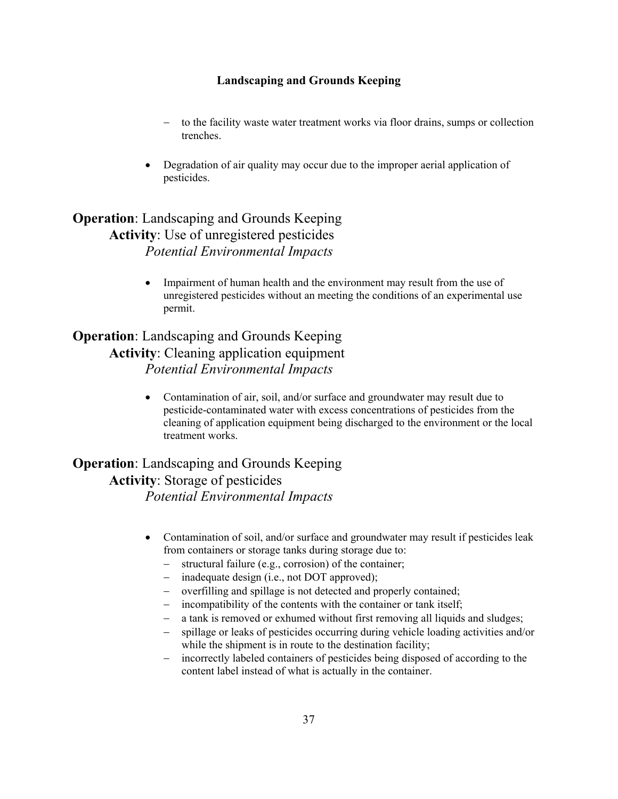- − to the facility waste water treatment works via floor drains, sumps or collection trenches.
- Degradation of air quality may occur due to the improper aerial application of pesticides.

## **Operation**: Landscaping and Grounds Keeping **Activity**: Use of unregistered pesticides *Potential Environmental Impacts*

• Impairment of human health and the environment may result from the use of unregistered pesticides without an meeting the conditions of an experimental use permit.

## **Operation**: Landscaping and Grounds Keeping **Activity**: Cleaning application equipment *Potential Environmental Impacts*

• Contamination of air, soil, and/or surface and groundwater may result due to pesticide-contaminated water with excess concentrations of pesticides from the cleaning of application equipment being discharged to the environment or the local treatment works.

## **Operation**: Landscaping and Grounds Keeping **Activity**: Storage of pesticides *Potential Environmental Impacts*

- Contamination of soil, and/or surface and groundwater may result if pesticides leak from containers or storage tanks during storage due to:
	- structural failure (e.g., corrosion) of the container;
	- − inadequate design (i.e., not DOT approved);
	- − overfilling and spillage is not detected and properly contained;
	- − incompatibility of the contents with the container or tank itself;
	- a tank is removed or exhumed without first removing all liquids and sludges;
	- − spillage or leaks of pesticides occurring during vehicle loading activities and/or while the shipment is in route to the destination facility;
	- − incorrectly labeled containers of pesticides being disposed of according to the content label instead of what is actually in the container.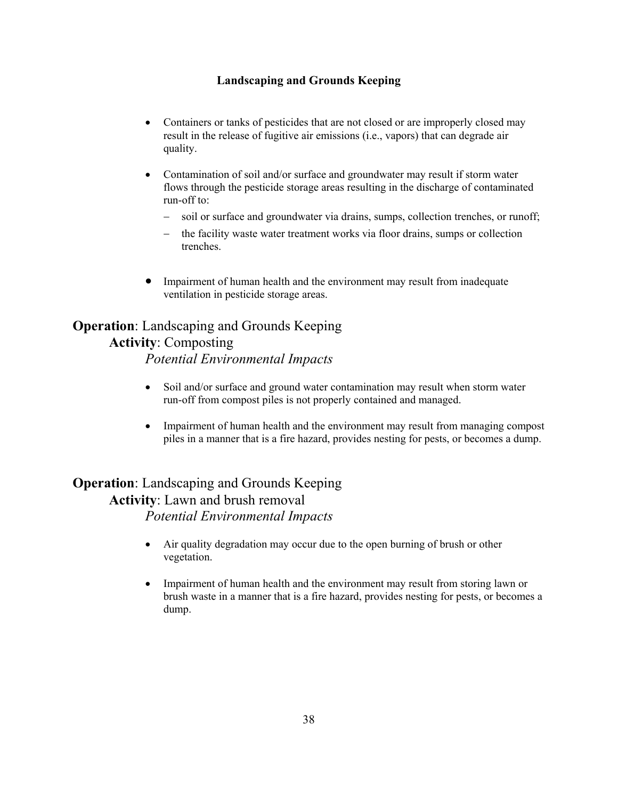- Containers or tanks of pesticides that are not closed or are improperly closed may result in the release of fugitive air emissions (i.e., vapors) that can degrade air quality.
- Contamination of soil and/or surface and groundwater may result if storm water flows through the pesticide storage areas resulting in the discharge of contaminated run-off to:
	- − soil or surface and groundwater via drains, sumps, collection trenches, or runoff;
	- the facility waste water treatment works via floor drains, sumps or collection trenches.
- Impairment of human health and the environment may result from inadequate ventilation in pesticide storage areas.

## **Operation**: Landscaping and Grounds Keeping **Activity**: Composting

*Potential Environmental Impacts* 

- Soil and/or surface and ground water contamination may result when storm water run-off from compost piles is not properly contained and managed.
- Impairment of human health and the environment may result from managing compost piles in a manner that is a fire hazard, provides nesting for pests, or becomes a dump.

## **Operation**: Landscaping and Grounds Keeping **Activity**: Lawn and brush removal *Potential Environmental Impacts*

- Air quality degradation may occur due to the open burning of brush or other vegetation.
- Impairment of human health and the environment may result from storing lawn or brush waste in a manner that is a fire hazard, provides nesting for pests, or becomes a dump.